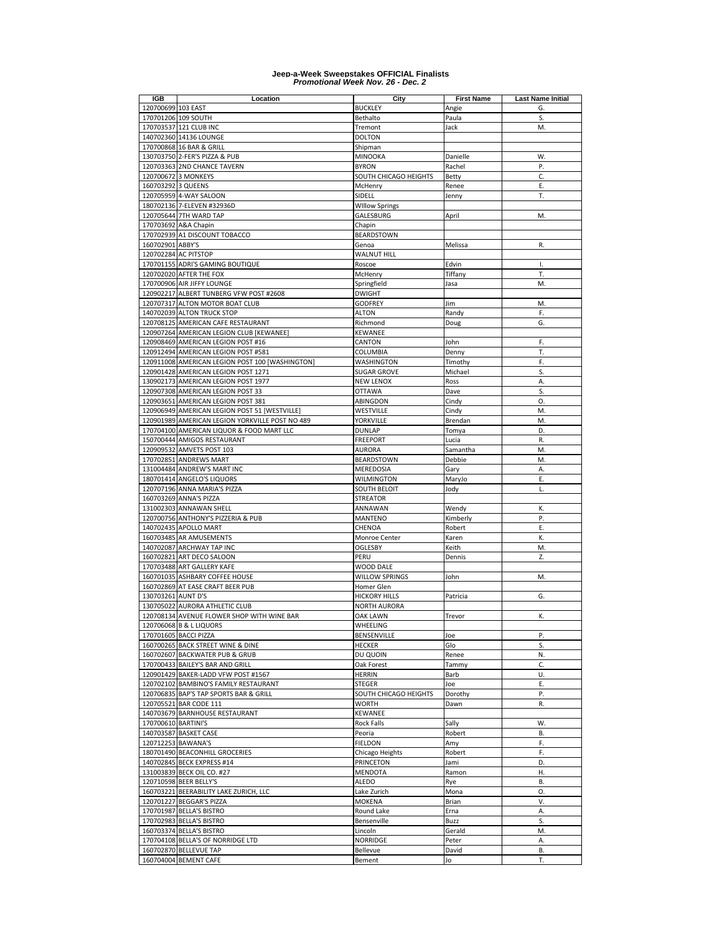| IGB                 | Location                                                    | City                  | <b>First Name</b> | <b>Last Name Initial</b> |
|---------------------|-------------------------------------------------------------|-----------------------|-------------------|--------------------------|
| 120700699 103 EAST  |                                                             | <b>BUCKLEY</b>        | Angie             | G.                       |
|                     | 170701206 109 SOUTH                                         | Bethalto              | Paula             | S.                       |
|                     | 170703537 121 CLUB INC                                      | Tremont               | Jack              | M.                       |
|                     | 140702360 14136 LOUNGE                                      | <b>DOLTON</b>         |                   |                          |
|                     | 170700868 16 BAR & GRILL                                    | Shipman               |                   |                          |
|                     | 130703750 2-FER'S PIZZA & PUB                               | <b>MINOOKA</b>        | Danielle          | W.                       |
|                     | 120703363 2ND CHANCE TAVERN                                 | <b>BYRON</b>          | Rachel            | Ρ.                       |
|                     | 120700672 3 MONKEYS                                         | SOUTH CHICAGO HEIGHTS | Betty             | C.                       |
| 160703292 3 QUEENS  |                                                             | McHenry               | Renee             | Ε.                       |
|                     | 120705959 4-WAY SALOON                                      | SIDELL                | Jenny             | Т.                       |
|                     | 180702136 7-ELEVEN #32936D                                  | <b>Willow Springs</b> |                   |                          |
|                     | 120705644 7TH WARD TAP                                      | GALESBURG             | April             | M.                       |
|                     | 170703692 A&A Chapin                                        | Chapin                |                   |                          |
|                     | 170702939 A1 DISCOUNT TOBACCO                               | <b>BEARDSTOWN</b>     |                   |                          |
| 160702901 ABBY'S    |                                                             | Genoa                 | Melissa           | R.                       |
|                     | 120702284 AC PITSTOP                                        | WALNUT HILL           |                   | T.                       |
|                     | 170701155 ADRI'S GAMING BOUTIQUE<br>120702020 AFTER THE FOX | Roscoe<br>McHenry     | Edvin<br>Tiffany  | Т.                       |
|                     | 170700906 AIR JIFFY LOUNGE                                  | Springfield           | Jasa              | M.                       |
|                     | 120902217 ALBERT TUNBERG VFW POST #2608                     | <b>DWIGHT</b>         |                   |                          |
|                     | 120707317 ALTON MOTOR BOAT CLUB                             | <b>GODFREY</b>        | Jim               | M.                       |
|                     | 140702039 ALTON TRUCK STOP                                  | ALTON                 |                   | F.                       |
|                     | 120708125 AMERICAN CAFE RESTAURANT                          | Richmond              | Randy<br>Doug     | G.                       |
|                     | 120907264 AMERICAN LEGION CLUB [KEWANEE]                    | <b>KEWANEE</b>        |                   |                          |
|                     | 120908469 AMERICAN LEGION POST #16                          | CANTON                | John              | F.                       |
|                     | 120912494 AMERICAN LEGION POST #581                         | COLUMBIA              | Denny             | Т.                       |
|                     | 120911008 AMERICAN LEGION POST 100 [WASHINGTON]             | WASHINGTON            | Timothy           | F.                       |
|                     | 120901428 AMERICAN LEGION POST 1271                         | <b>SUGAR GROVE</b>    | Michael           | S.                       |
|                     | 130902173 AMERICAN LEGION POST 1977                         | <b>NEW LENOX</b>      | Ross              | Α.                       |
|                     | 120907308 AMERICAN LEGION POST 33                           | <b>OTTAWA</b>         | Dave              | S.                       |
|                     | 120903651 AMERICAN LEGION POST 381                          | ABINGDON              | Cindy             | O.                       |
|                     | 120906949 AMERICAN LEGION POST 51 [WESTVILLE]               | WESTVILLE             | Cindy             | M.                       |
|                     | 120901989 AMERICAN LEGION YORKVILLE POST NO 489             | YORKVILLE             | Brendan           | M.                       |
|                     | 170704100 AMERICAN LIQUOR & FOOD MART LLC                   | <b>DUNLAP</b>         | Tomya             | D.                       |
|                     | 150700444 AMIGOS RESTAURANT                                 | <b>FREEPORT</b>       | Lucia             | R.                       |
|                     | 120909532 AMVETS POST 103                                   | AURORA                | Samantha          | M.                       |
|                     | 170702851 ANDREWS MART                                      | BEARDSTOWN            | Debbie            | M.                       |
|                     | 131004484 ANDREW'S MART INC                                 | MEREDOSIA             | Gary              | Α.                       |
|                     | 180701414 ANGELO'S LIQUORS                                  | WILMINGTON            | MaryJo            | Ε.                       |
|                     | 120707196 ANNA MARIA'S PIZZA                                | SOUTH BELOIT          | Jody              | L.                       |
|                     | 160703269 ANNA'S PIZZA                                      | <b>STREATOR</b>       |                   |                          |
|                     | 131002303 ANNAWAN SHELL                                     | ANNAWAN               | Wendy             | К.                       |
|                     | 120700756 ANTHONY'S PIZZERIA & PUB                          | MANTENO               | Kimberly          | Ρ.                       |
|                     | 140702435 APOLLO MART                                       | CHENOA                | Robert            | Ε.                       |
|                     | 160703485 AR AMUSEMENTS                                     | Monroe Center         | Karen             | К.                       |
|                     | 140702087 ARCHWAY TAP INC                                   | OGLESBY               | Keith             | M.                       |
|                     | 160702821 ART DECO SALOON                                   | PERU                  | Dennis            | Z.                       |
|                     | 170703488 ART GALLERY KAFE                                  | WOOD DALE             |                   |                          |
|                     | 160701035 ASHBARY COFFEE HOUSE                              | <b>WILLOW SPRINGS</b> | John              | M.                       |
|                     | 160702869 AT EASE CRAFT BEER PUB                            | Homer Glen            |                   |                          |
| 130703261 AUNT D'S  |                                                             | <b>HICKORY HILLS</b>  | Patricia          | G.                       |
|                     | 130705022 AURORA ATHLETIC CLUB                              | <b>NORTH AURORA</b>   |                   |                          |
|                     | 120708134 AVENUE FLOWER SHOP WITH WINE BAR                  | <b>OAK LAWN</b>       | Trevor            | К.                       |
|                     | 120706068 B & L LIQUORS                                     | WHEELING              |                   |                          |
|                     | 170701605 BACCI PIZZA                                       | BENSENVILLE           | Joe               | Ρ.                       |
|                     | 160700265 BACK STREET WINE & DINE                           | <b>HECKER</b>         | Glo               | S.                       |
|                     | 160702607 BACKWATER PUB & GRUB                              | DU QUOIN              | Renee             | N.                       |
|                     | 170700433 BAILEY'S BAR AND GRILL                            | Oak Forest            | Tammy             | C.                       |
|                     | 120901429 BAKER-LADD VFW POST #1567                         | HERRIN                | Barb              | U.                       |
|                     | 120702102 BAMBINO'S FAMILY RESTAURANT                       | <b>STEGER</b>         | Joe               | Ε.                       |
|                     | 120706835 BAP'S TAP SPORTS BAR & GRILL                      | SOUTH CHICAGO HEIGHTS | Dorothy           | Ρ.                       |
|                     | 120705521 BAR CODE 111                                      | <b>WORTH</b>          | Dawn              | R.                       |
|                     | 140703679 BARNHOUSE RESTAURANT                              | <b>KEWANEE</b>        |                   |                          |
| 170700610 BARTINI'S |                                                             | Rock Falls            | Sally             | W.                       |
|                     | 140703587 BASKET CASE                                       | Peoria                | Robert            | В.                       |
|                     | 120712253 BAWANA'S                                          | <b>FIELDON</b>        | Amy               | F.                       |
|                     | 180701490 BEACONHILL GROCERIES                              | Chicago Heights       | Robert            | F.                       |
|                     | 140702845 BECK EXPRESS #14                                  | PRINCETON             | Jami              | D.                       |
|                     | 131003839 BECK OIL CO. #27                                  | <b>MENDOTA</b>        | Ramon             | Η.                       |
|                     | 120710598 BEER BELLY'S                                      | ALEDO                 | Rye               | <b>B.</b>                |
|                     | 160703221 BEERABILITY LAKE ZURICH, LLC                      | Lake Zurich           | Mona              | 0.                       |
|                     | 120701227 BEGGAR'S PIZZA                                    | MOKENA                | Brian             | ٧.                       |
|                     | 170701987 BELLA'S BISTRO                                    | Round Lake            | Erna              | Α.                       |
|                     | 170702983 BELLA'S BISTRO                                    | Bensenville           | Buzz              | S.                       |
|                     | 160703374 BELLA'S BISTRO                                    | Lincoln               | Gerald            | M.                       |
|                     | 170704108 BELLA'S OF NORRIDGE LTD                           | <b>NORRIDGE</b>       | Peter             | Α.                       |
|                     | 160702870 BELLEVUE TAP                                      | Bellevue              | David             | В.                       |
|                     | 160704004 BEMENT CAFE                                       | Bement                | Jo                | T.                       |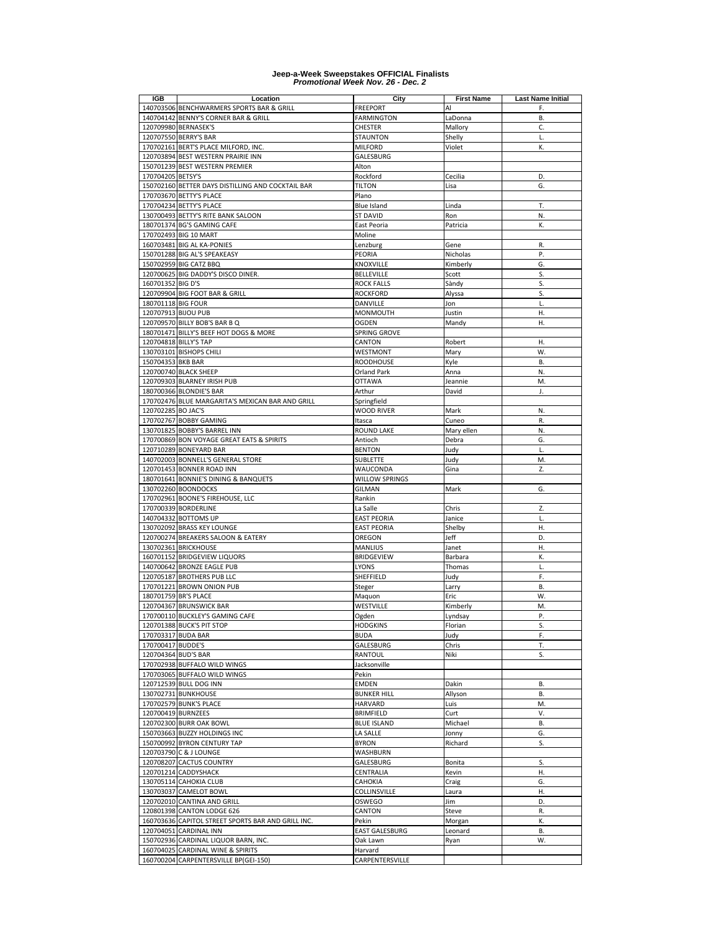| <b>IGB</b>            | Location                                                                     | City                      | <b>First Name</b> | <b>Last Name Initial</b> |
|-----------------------|------------------------------------------------------------------------------|---------------------------|-------------------|--------------------------|
|                       | 140703506 BENCHWARMERS SPORTS BAR & GRILL                                    | <b>FREEPORT</b>           | Al                | F.                       |
|                       | 140704142 BENNY'S CORNER BAR & GRILL                                         | <b>FARMINGTON</b>         | LaDonna           | В.                       |
|                       | 120709980 BERNASEK'S                                                         | <b>CHESTER</b>            | Mallory           | C.                       |
|                       | 120707550 BERRY'S BAR                                                        | <b>STAUNTON</b>           | Shelly            | L.                       |
|                       | 170702161 BERT'S PLACE MILFORD, INC.                                         | <b>MILFORD</b>            | Violet            | К.                       |
|                       | 120703894 BEST WESTERN PRAIRIE INN                                           | GALESBURG                 |                   |                          |
|                       | 150701239 BEST WESTERN PREMIER                                               | Alton                     |                   |                          |
| 170704205 BETSY'S     |                                                                              | Rockford<br><b>TILTON</b> | Cecilia           | D.                       |
|                       | 150702160 BETTER DAYS DISTILLING AND COCKTAIL BAR<br>170703670 BETTY'S PLACE | Plano                     | Lisa              | G.                       |
|                       | 170704234 BETTY'S PLACE                                                      | Blue Island               | Linda             | Т.                       |
|                       | 130700493 BETTY'S RITE BANK SALOON                                           | <b>ST DAVID</b>           | Ron               | N.                       |
|                       | 180701374 BG'S GAMING CAFE                                                   | East Peoria               | Patricia          | К.                       |
|                       | 170702493 BIG 10 MART                                                        | Moline                    |                   |                          |
|                       | 160703481 BIG AL KA-PONIES                                                   | Lenzburg                  | Gene              | R.                       |
|                       | 150701288 BIG AL'S SPEAKEASY                                                 | PEORIA                    | Nicholas          | Ρ.                       |
|                       | 150702959 BIG CATZ BBQ                                                       | KNOXVILLE                 | Kimberly          | G.                       |
|                       | 120700625 BIG DADDY'S DISCO DINER.                                           | BELLEVILLE                | Scott             | S.                       |
| 160701352 BIG D'S     |                                                                              | <b>ROCK FALLS</b>         | Sàndy             | S.                       |
|                       | 120709904 BIG FOOT BAR & GRILL                                               | <b>ROCKFORD</b>           | Alyssa            | S.                       |
| 180701118 BIG FOUR    |                                                                              | DANVILLE                  | Jon               | L.                       |
| 120707913 BIJOU PUB   |                                                                              | MONMOUTH                  | Justin            | Η.                       |
|                       | 120709570 BILLY BOB'S BAR B Q                                                | <b>OGDEN</b>              | Mandy             | Η.                       |
|                       | 180701471 BILLY'S BEEF HOT DOGS & MORE                                       | SPRING GROVE              |                   |                          |
| 120704818 BILLY'S TAP |                                                                              | CANTON                    | Robert            | Η.                       |
|                       | 130703101 BISHOPS CHILI                                                      | <b>WESTMONT</b>           | Mary              | W.                       |
| 150704353 BKB BAR     |                                                                              | <b>ROODHOUSE</b>          | Kyle              | В.                       |
|                       | 120700740 BLACK SHEEP                                                        | <b>Orland Park</b>        | Anna              | N.                       |
|                       | 120709303 BLARNEY IRISH PUB                                                  | <b>OTTAWA</b>             | Jeannie           | M.                       |
|                       | 180700366 BLONDIE'S BAR                                                      | Arthur                    | David             | J.                       |
|                       | 170702476 BLUE MARGARITA'S MEXICAN BAR AND GRILL                             | Springfield               |                   |                          |
| 120702285 BO JAC'S    |                                                                              | <b>WOOD RIVER</b>         | Mark              | N.                       |
|                       | 170702767 BOBBY GAMING                                                       | Itasca                    | Cuneo             | R.                       |
|                       | 130701825 BOBBY'S BARREL INN                                                 | <b>ROUND LAKE</b>         | Mary ellen        | N.                       |
|                       | 170700869 BON VOYAGE GREAT EATS & SPIRITS                                    | Antioch                   | Debra             | G.<br>L.                 |
|                       | 120710289 BONEYARD BAR<br>140702003 BONNELL'S GENERAL STORE                  | <b>BENTON</b><br>SUBLETTE | Judy<br>Judy      | M.                       |
|                       | 120701453 BONNER ROAD INN                                                    | WAUCONDA                  | Gina              | Z.                       |
|                       | 180701641 BONNIE'S DINING & BANQUETS                                         | WILLOW SPRINGS            |                   |                          |
|                       | 130702260 BOONDOCKS                                                          | GILMAN                    | Mark              | G.                       |
|                       | 170702961 BOONE'S FIREHOUSE, LLC                                             | Rankin                    |                   |                          |
|                       | 170700339 BORDERLINE                                                         | La Salle                  | Chris             | Z.                       |
|                       | 140704332 BOTTOMS UP                                                         | EAST PEORIA               | Janice            | L.                       |
|                       | 130702092 BRASS KEY LOUNGE                                                   | <b>EAST PEORIA</b>        | Shelby            | Η.                       |
|                       | 120700274 BREAKERS SALOON & EATERY                                           | OREGON                    | Jeff              | D.                       |
|                       | 130702361 BRICKHOUSE                                                         | MANLIUS                   | Janet             | Η.                       |
|                       | 160701152 BRIDGEVIEW LIQUORS                                                 | <b>BRIDGEVIEW</b>         | Barbara           | К.                       |
|                       | 140700642 BRONZE EAGLE PUB                                                   | LYONS                     | Thomas            | L.                       |
|                       | 120705187 BROTHERS PUB LLC                                                   | SHEFFIELD                 | Judy              | F.                       |
|                       | 170701221 BROWN ONION PUB                                                    | Steger                    | Larry             | В.                       |
| 180701759 BR'S PLACE  |                                                                              | Maquon                    | Eric              | W.                       |
|                       | 120704367 BRUNSWICK BAR                                                      | WESTVILLE                 | Kimberly          | M.                       |
|                       | 170700110 BUCKLEY'S GAMING CAFE                                              | Ogden                     | Lyndsay           | P.                       |
|                       | 120701388 BUCK'S PIT STOP                                                    | <b>HODGKINS</b>           | Florian           | S.                       |
| 170703317 BUDA BAR    |                                                                              | <b>BUDA</b>               | Judy              | F.                       |
| 170700417 BUDDE'S     |                                                                              | GALESBURG<br>RANTOUL      | Chris<br>Niki     | T.                       |
| 120704364 BUD'S BAR   | 170702938 BUFFALO WILD WINGS                                                 | Jacksonville              |                   | S.                       |
|                       | 170703065 BUFFALO WILD WINGS                                                 | Pekin                     |                   |                          |
|                       | 120712539 BULL DOG INN                                                       | EMDEN                     | Dakin             | В.                       |
|                       | 130702731 BUNKHOUSE                                                          | <b>BUNKER HILL</b>        | Allyson           | В.                       |
|                       | 170702579 BUNK'S PLACE                                                       | HARVARD                   | Luis              | M.                       |
| 120700419 BURNZEES    |                                                                              | <b>BRIMFIELD</b>          | Curt              | ٧.                       |
|                       | 120702300 BURR OAK BOWL                                                      | <b>BLUE ISLAND</b>        | Michael           | В.                       |
|                       | 150703663 BUZZY HOLDINGS INC                                                 | LA SALLE                  | Jonny             | G.                       |
|                       | 150700992 BYRON CENTURY TAP                                                  | <b>BYRON</b>              | Richard           | S.                       |
|                       | 120703790 C & J LOUNGE                                                       | WASHBURN                  |                   |                          |
|                       | 120708207 CACTUS COUNTRY                                                     | GALESBURG                 | Bonita            | S.                       |
|                       | 120701214 CADDYSHACK                                                         | CENTRALIA                 | Kevin             | Η.                       |
|                       | 130705114 CAHOKIA CLUB                                                       | CAHOKIA                   | Craig             | G.                       |
|                       | 130703037 CAMELOT BOWL                                                       | COLLINSVILLE              | Laura             | Η.                       |
|                       | 120702010 CANTINA AND GRILL                                                  | OSWEGO                    | Jim               | D.                       |
|                       | 120801398 CANTON LODGE 626                                                   | CANTON                    | Steve             | R.                       |
|                       | 160703636 CAPITOL STREET SPORTS BAR AND GRILL INC.                           | Pekin                     | Morgan            | Κ.                       |
|                       | 120704051 CARDINAL INN                                                       | EAST GALESBURG            | Leonard           | В.                       |
|                       | 150702936 CARDINAL LIQUOR BARN, INC.                                         | Oak Lawn                  | Ryan              | W.                       |
|                       | 160704025 CARDINAL WINE & SPIRITS                                            | Harvard                   |                   |                          |
|                       | 160700204 CARPENTERSVILLE BP(GEI-150)                                        | CARPENTERSVILLE           |                   |                          |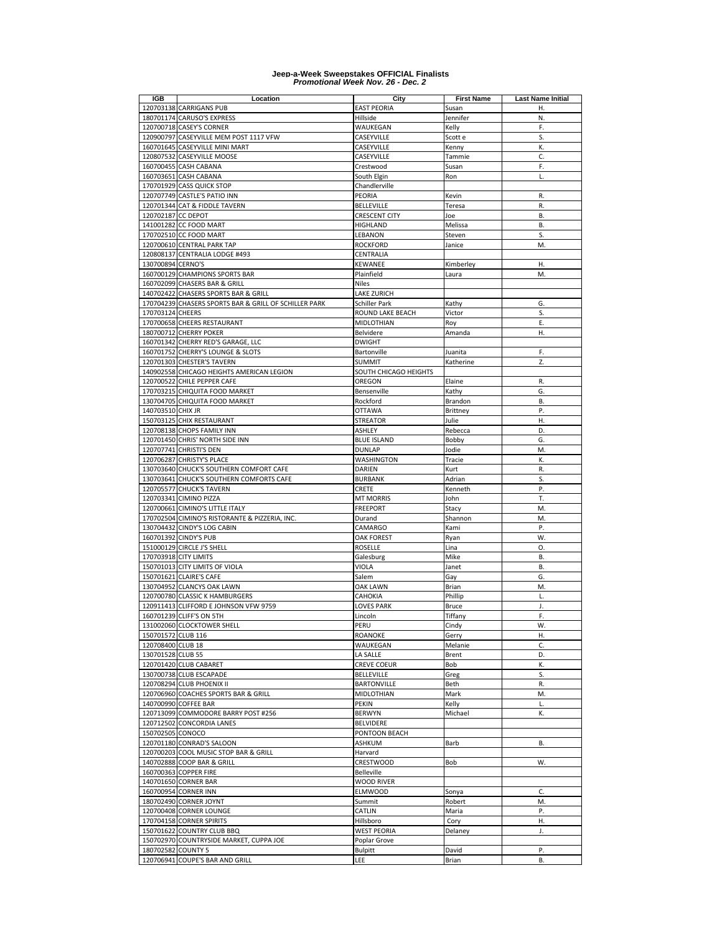| IGB                | Location                                              | City                  | <b>First Name</b> | <b>Last Name Initial</b> |
|--------------------|-------------------------------------------------------|-----------------------|-------------------|--------------------------|
|                    | 120703138 CARRIGANS PUB                               | <b>EAST PEORIA</b>    | Susan             | Η.                       |
|                    | 180701174 CARUSO'S EXPRESS                            | Hillside              | Jennifer          | N.                       |
|                    | 120700718 CASEY'S CORNER                              | WAUKEGAN              | Kelly             | F.                       |
|                    | 120900797 CASEYVILLE MEM POST 1117 VFW                | CASEYVILLE            | Scott e           | S.                       |
|                    | 160701645 CASEYVILLE MINI MART                        | CASEYVILLE            | Kenny             | K.                       |
|                    | 120807532 CASEYVILLE MOOSE                            | CASEYVILLE            | Tammie            | C.                       |
|                    | 160700455 CASH CABANA                                 | Crestwood             | Susan             | F.                       |
|                    | 160703651 CASH CABANA                                 | South Elgin           | Ron               | L.                       |
|                    | 170701929 CASS QUICK STOP                             | Chandlerville         |                   |                          |
|                    | 120707749 CASTLE'S PATIO INN                          | PEORIA                | Kevin             | R.                       |
|                    | 120701344 CAT & FIDDLE TAVERN                         | BELLEVILLE            | Teresa            | R.                       |
| 120702187 CC DEPOT |                                                       | CRESCENT CITY         | Joe               | В.                       |
|                    | 141001282 CC FOOD MART                                | HIGHLAND              | Melissa           | В.                       |
|                    | 170702510 CC FOOD MART                                | LEBANON               | Steven            | S.                       |
|                    | 120700610 CENTRAL PARK TAP                            | <b>ROCKFORD</b>       | Janice            | M.                       |
|                    | 120808137 CENTRALIA LODGE #493                        | CENTRALIA             |                   |                          |
| 130700894 CERNO'S  |                                                       | KEWANEE               | Kimberley         | Η.                       |
|                    | 160700129 CHAMPIONS SPORTS BAR                        | Plainfield            | Laura             | M.                       |
|                    | 160702099 CHASERS BAR & GRILL                         | Niles                 |                   |                          |
|                    | 140702422 CHASERS SPORTS BAR & GRILL                  | LAKE ZURICH           |                   |                          |
|                    | 170704239 CHASERS SPORTS BAR & GRILL OF SCHILLER PARK | Schiller Park         | Kathy             | G.                       |
| 170703124 CHEERS   |                                                       | ROUND LAKE BEACH      | Victor            | S.                       |
|                    | 170700658 CHEERS RESTAURANT                           | MIDLOTHIAN            | Roy               | E.                       |
|                    | 180700712 CHERRY POKER                                | Belvidere             | Amanda            | Η.                       |
|                    | 160701342 CHERRY RED'S GARAGE, LLC                    | <b>DWIGHT</b>         |                   |                          |
|                    | 160701752 CHERRY'S LOUNGE & SLOTS                     | Bartonville           | Juanita           | F.                       |
|                    | 120701303 CHESTER'S TAVERN                            | <b>SUMMIT</b>         | Katherine         | Z.                       |
|                    | 140902558 CHICAGO HEIGHTS AMERICAN LEGION             | SOUTH CHICAGO HEIGHTS |                   |                          |
|                    | 120700522 CHILE PEPPER CAFE                           | OREGON                | Elaine            | R.                       |
|                    | 170703215 CHIQUITA FOOD MARKET                        | Bensenville           | Kathy             | G.                       |
|                    | 130704705 CHIQUITA FOOD MARKET                        | Rockford              | Brandon           | В.                       |
| 140703510 CHIX JR  |                                                       | <b>OTTAWA</b>         | <b>Brittney</b>   | P.                       |
|                    | 150703125 CHIX RESTAURANT                             | <b>STREATOR</b>       | Julie             | н.                       |
|                    | 120708138 CHOPS FAMILY INN                            | ASHLEY                | Rebecca           | D.                       |
|                    | 120701450 CHRIS' NORTH SIDE INN                       | <b>BLUE ISLAND</b>    | Bobby             | G.                       |
|                    | 120707741 CHRISTI'S DEN                               | DUNLAP                | Jodie             | M.                       |
|                    | 120706287 CHRISTY'S PLACE                             | WASHINGTON            | Tracie            | Κ.                       |
|                    | 130703640 CHUCK'S SOUTHERN COMFORT CAFE               | DARIEN                | Kurt              | R.                       |
|                    | 130703641 CHUCK'S SOUTHERN COMFORTS CAFE              | <b>BURBANK</b>        | Adrian            | S.                       |
|                    | 120705577 CHUCK'S TAVERN                              | CRETE                 | Kenneth           | P.                       |
|                    | 120703341 CIMINO PIZZA                                | <b>MT MORRIS</b>      | John              | Т.                       |
|                    | 120700661 CIMINO'S LITTLE ITALY                       | <b>FREEPORT</b>       | Stacy             | M.                       |
|                    | 170702504 CIMINO'S RISTORANTE & PIZZERIA, INC.        | Durand                | Shannon           | M.                       |
|                    | 130704432 CINDY'S LOG CABIN                           | CAMARGO               | Kami              | Ρ.                       |
|                    | 160701392 CINDY'S PUB                                 | <b>OAK FOREST</b>     | Ryan              | W.                       |
|                    | 151000129 CIRCLE J'S SHELL                            | <b>ROSELLE</b>        | Lina              | O.                       |
|                    | 170703918 CITY LIMITS                                 | Galesburg             | Mike              | В.                       |
|                    | 150701013 CITY LIMITS OF VIOLA                        | VIOLA                 | Janet             | В.                       |
|                    | 150701621 CLAIRE'S CAFE                               | Salem                 | Gay               | G.                       |
|                    | 130704952 CLANCYS OAK LAWN                            | <b>OAK LAWN</b>       | Brian             | M.                       |
|                    | 120700780 CLASSIC K HAMBURGERS                        | CAHOKIA               | Phillip           | L.                       |
|                    | 120911413 CLIFFORD E JOHNSON VFW 9759                 | <b>LOVES PARK</b>     | <b>Bruce</b>      | J.                       |
|                    | 160701239 CLIFF'S ON 5TH                              | Lincoln               | Tiffany           | F.                       |
| 150701572 CLUB 116 | 131002060 CLOCKTOWER SHELL                            | PERU                  | Cindy             | W.                       |
|                    |                                                       | ROANOKE               | Gerry             | Η.                       |
| 120708400 CLUB 18  |                                                       | WAUKEGAN              | Melanie           | C.                       |
| 130701528 CLUB 55  |                                                       | LA SALLE              | Brent             | D.                       |
|                    | 120701420 CLUB CABARET                                | <b>CREVE COEUR</b>    | Bob               | Κ.                       |
|                    | 130700738 CLUB ESCAPADE                               | BELLEVILLE            | Greg              | S.                       |
|                    | 120708294 CLUB PHOENIX II                             | BARTONVILLE           | Beth              | R.                       |
|                    | 120706960 COACHES SPORTS BAR & GRILL                  | MIDLOTHIAN            | Mark              | M.                       |
|                    | 140700990 COFFEE BAR                                  | PEKIN                 | Kelly             | L.                       |
|                    | 120713099 COMMODORE BARRY POST #256                   | <b>BERWYN</b>         | Michael           | К.                       |
|                    | 120712502 CONCORDIA LANES                             | BELVIDERE             |                   |                          |
| 150702505 CONOCO   |                                                       | PONTOON BEACH         |                   |                          |
|                    | 120701180 CONRAD'S SALOON                             | ASHKUM                | Barb              | В.                       |
|                    | 120700203 COOL MUSIC STOP BAR & GRILL                 | Harvard               |                   |                          |
|                    | 140702888 COOP BAR & GRILL                            | CRESTWOOD             | Bob               | W.                       |
|                    | 160700363 COPPER FIRE                                 | Belleville            |                   |                          |
|                    | 140701650 CORNER BAR                                  | <b>WOOD RIVER</b>     |                   |                          |
|                    | 160700954 CORNER INN                                  | <b>ELMWOOD</b>        | Sonya             | C.                       |
|                    | 180702490 CORNER JOYNT                                | Summit                | Robert            | M.                       |
|                    | 120700408 CORNER LOUNGE                               | CATLIN                | Maria             | Ρ.                       |
|                    | 170704158 CORNER SPIRITS                              | Hillsboro             | Cory              | Η.                       |
|                    | 150701622 COUNTRY CLUB BBQ                            | <b>WEST PEORIA</b>    | Delaney           | J.                       |
|                    | 150702970 COUNTRYSIDE MARKET, CUPPA JOE               | Poplar Grove          |                   |                          |
| 180702582 COUNTY 5 |                                                       | <b>Bulpitt</b>        | David             | Ρ.                       |
|                    | 120706941 COUPE'S BAR AND GRILL                       | LEE                   | Brian             | В.                       |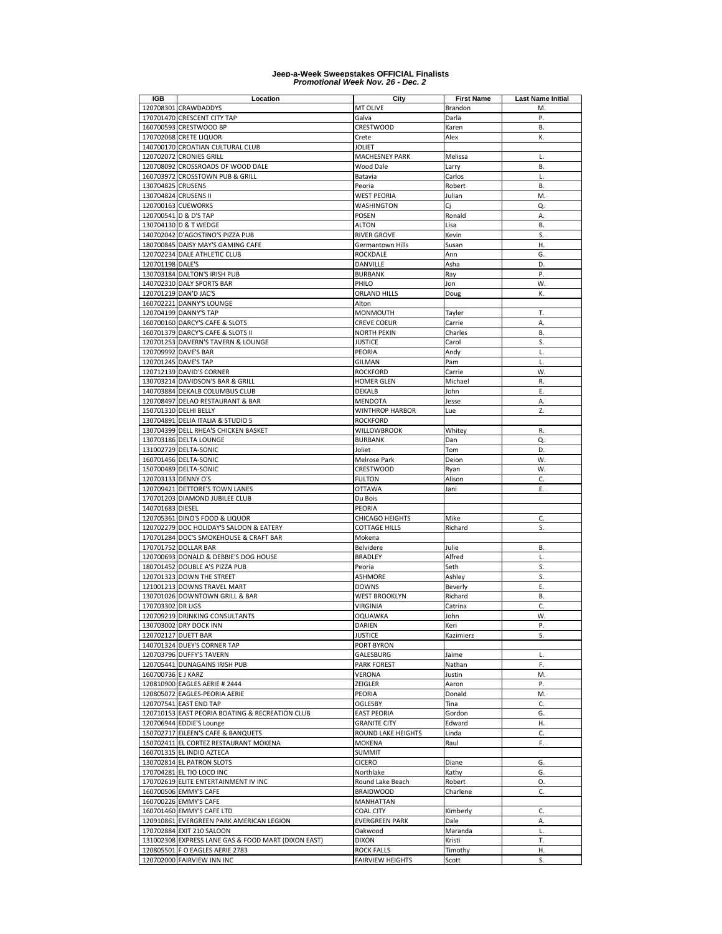| IGB                  | Location                                            | City                    | <b>First Name</b> | <b>Last Name Initial</b> |
|----------------------|-----------------------------------------------------|-------------------------|-------------------|--------------------------|
|                      | 120708301 CRAWDADDYS                                | MT OLIVE                | Brandon           | M.                       |
|                      | 170701470 CRESCENT CITY TAP                         | Galva                   | Darla             | Ρ.                       |
|                      | 160700593 CRESTWOOD BP                              | CRESTWOOD               | Karen             | В.                       |
|                      |                                                     |                         |                   | К.                       |
|                      | 170702068 CRETE LIQUOR                              | Crete                   | Alex              |                          |
|                      | 140700170 CROATIAN CULTURAL CLUB                    | JOLIET                  |                   |                          |
|                      | 120702072 CRONIES GRILL                             | MACHESNEY PARK          | Melissa           | L.                       |
|                      | 120708092 CROSSROADS OF WOOD DALE                   | Wood Dale               | Larry             | В.                       |
|                      | 160703972 CROSSTOWN PUB & GRILL                     | Batavia                 | Carlos            | L.                       |
| 130704825 CRUSENS    |                                                     | Peoria                  | Robert            | В.                       |
| 130704824 CRUSENS II |                                                     | WEST PEORIA             | Julian            | M.                       |
|                      | 120700163 CUEWORKS                                  | WASHINGTON              |                   | Q.                       |
|                      |                                                     |                         | Сj                |                          |
|                      | 120700541 D & D'S TAP                               | <b>POSEN</b>            | Ronald            | А.                       |
|                      | 130704130 D & T WEDGE                               | <b>ALTON</b>            | Lisa              | В.                       |
|                      | 140702042 D'AGOSTINO'S PIZZA PUB                    | RIVER GROVE             | Kevin             | S.                       |
|                      | 180700845 DAISY MAY'S GAMING CAFE                   | Germantown Hills        | Susan             | Η.                       |
|                      | 120702234 DALE ATHLETIC CLUB                        | ROCKDALE                | Ann               | G.                       |
| 120701198 DALE'S     |                                                     | DANVILLE                | Asha              | D.                       |
|                      | 130703184 DALTON'S IRISH PUB                        | BURBANK                 | Ray               | Ρ.                       |
|                      | 140702310 DALY SPORTS BAR                           | PHILO                   | Jon               | W.                       |
|                      |                                                     |                         |                   |                          |
|                      | 120701219 DAN'D JAC'S                               | ORLAND HILLS            | Doug              | Κ.                       |
|                      | 160702221 DANNY'S LOUNGE                            | Alton                   |                   |                          |
|                      | 120704199 DANNY'S TAP                               | MONMOUTH                | Tayler            | T.                       |
|                      | 160700160 DARCY'S CAFE & SLOTS                      | <b>CREVE COEUR</b>      | Carrie            | Α.                       |
|                      | 160701379 DARCY'S CAFE & SLOTS II                   | NORTH PEKIN             | Charles           | <b>B.</b>                |
|                      | 120701253 DAVERN'S TAVERN & LOUNGE                  | <b>JUSTICE</b>          | Carol             | S.                       |
|                      | 120709992 DAVE'S BAR                                | PEORIA                  | Andy              | L.                       |
|                      |                                                     |                         |                   |                          |
|                      | 120701245 DAVE'S TAP                                | GILMAN                  | Pam               | L.                       |
|                      | 120712139 DAVID'S CORNER                            | <b>ROCKFORD</b>         | Carrie            | W.                       |
|                      | 130703214 DAVIDSON'S BAR & GRILL                    | HOMER GLEN              | Michael           | R.                       |
|                      | 140703884 DEKALB COLUMBUS CLUB                      | <b>DEKALB</b>           | John              | Ε.                       |
|                      | 120708497 DELAO RESTAURANT & BAR                    | <b>MENDOTA</b>          | Jesse             | Α.                       |
|                      | 150701310 DELHI BELLY                               | WINTHROP HARBOR         | Lue               | Z.                       |
|                      | 130704891 DELIA ITALIA & STUDIO 5                   | <b>ROCKFORD</b>         |                   |                          |
|                      | 130704399 DELL RHEA'S CHICKEN BASKET                | WILLOWBROOK             | Whitey            | R.                       |
|                      |                                                     |                         |                   |                          |
|                      | 130703186 DELTA LOUNGE                              | <b>BURBANK</b>          | Dan               | Q.                       |
|                      | 131002729 DELTA-SONIC                               | Joliet                  | Tom               | D.                       |
|                      | 160701456 DELTA-SONIC                               | Melrose Park            | Deion             | W.                       |
|                      | 150700489 DELTA-SONIC                               | CRESTWOOD               | Ryan              | W.                       |
|                      | 120703133 DENNY O'S                                 | <b>FULTON</b>           | Alison            | C.                       |
|                      | 120709421 DETTORE'S TOWN LANES                      | <b>OTTAWA</b>           | Jani              | Ε.                       |
|                      | 170701203 DIAMOND JUBILEE CLUB                      | Du Bois                 |                   |                          |
| 140701683 DIESEL     |                                                     | PEORIA                  |                   |                          |
|                      |                                                     |                         |                   |                          |
|                      | 120705361 DINO'S FOOD & LIQUOR                      | CHICAGO HEIGHTS         | Mike              | C.                       |
|                      | 120702279 DOC HOLIDAY'S SALOON & EATERY             | <b>COTTAGE HILLS</b>    | Richard           | S.                       |
|                      | 170701284 DOC'S SMOKEHOUSE & CRAFT BAR              | Mokena                  |                   |                          |
|                      | 170701752 DOLLAR BAR                                | Belvidere               | Julie             | В.                       |
|                      | 120700693 DONALD & DEBBIE'S DOG HOUSE               | <b>BRADLEY</b>          | Alfred            | L.                       |
|                      | 180701452 DOUBLE A'S PIZZA PUB                      | Peoria                  | Seth              | S.                       |
|                      | 120701323 DOWN THE STREET                           | ASHMORE                 | Ashley            | Ś.                       |
|                      | 121001213 DOWNS TRAVEL MART                         | <b>DOWNS</b>            | Beverly           | Ε.                       |
|                      |                                                     |                         |                   |                          |
|                      | 130701026 DOWNTOWN GRILL & BAR                      | <b>WEST BROOKLYN</b>    | Richard           | В.                       |
| 170703302 DR UGS     |                                                     | VIRGINIA                | Catrina           | C.                       |
|                      | 120709219 DRINKING CONSULTANTS                      | <b>OQUAWKA</b>          | John              | W.                       |
|                      | 130703002 DRY DOCK INN                              | DARIEN                  | Keri              | Ρ.                       |
|                      | 120702127 DUETT BAR                                 | <b>JUSTICE</b>          | Kazimierz         | S.                       |
|                      | 140701324 DUEY'S CORNER TAP                         | PORT BYRON              |                   |                          |
|                      | 120703796 DUFFY'S TAVERN                            | GALESBURG               | Jaime             | L.                       |
|                      | 120705441 DUNAGAINS IRISH PUB                       | <b>PARK FOREST</b>      | Nathan            | F.                       |
| 160700736 E J KARZ   |                                                     | VERONA                  | Justin            | M.                       |
|                      | 120810900 EAGLES AERIE # 2444                       |                         |                   |                          |
|                      |                                                     | ZEIGLER                 | Aaron             | Ρ.                       |
|                      | 120805072 EAGLES-PEORIA AERIE                       | PEORIA                  | Donald            | M.                       |
|                      | 120707541 EAST END TAP                              | OGLESBY                 | Tina              | C.                       |
|                      | 120710153 EAST PEORIA BOATING & RECREATION CLUB     | <b>EAST PEORIA</b>      | Gordon            | G.                       |
|                      | 120706944 EDDIE'S Lounge                            | <b>GRANITE CITY</b>     | Edward            | Η.                       |
|                      | 150702717 EILEEN'S CAFE & BANQUETS                  | ROUND LAKE HEIGHTS      | Linda             | С.                       |
|                      | 150702411 EL CORTEZ RESTAURANT MOKENA               | MOKENA                  | Raul              | F.                       |
|                      | 160701315 EL INDIO AZTECA                           | <b>SUMMIT</b>           |                   |                          |
|                      |                                                     |                         |                   |                          |
|                      | 130702814 EL PATRON SLOTS                           | <b>CICERO</b>           | Diane             | G.                       |
|                      | 170704281 EL TIO LOCO INC                           | Northlake               | Kathy             | G.                       |
|                      | 170702619 ELITE ENTERTAINMENT IV INC                | Round Lake Beach        | Robert            | О.                       |
|                      | 160700506 EMMY'S CAFE                               | <b>BRAIDWOOD</b>        | Charlene          | C.                       |
|                      | 160700226 EMMY'S CAFE                               | MANHATTAN               |                   |                          |
|                      | 160701460 EMMY'S CAFE LTD                           | <b>COAL CITY</b>        | Kimberly          | C.                       |
|                      | 120910861 EVERGREEN PARK AMERICAN LEGION            | EVERGREEN PARK          | Dale              | А.                       |
|                      | 170702884 EXIT 210 SALOON                           | Oakwood                 | Maranda           | L.                       |
|                      | 131002308 EXPRESS LANE GAS & FOOD MART (DIXON EAST) | <b>DIXON</b>            | Kristi            | Т.                       |
|                      |                                                     |                         |                   |                          |
|                      | 120805501 F O EAGLES AERIE 2783                     | <b>ROCK FALLS</b>       | Timothy           | Η.                       |
|                      | 120702000 FAIRVIEW INN INC                          | <b>FAIRVIEW HEIGHTS</b> | Scott             | S.                       |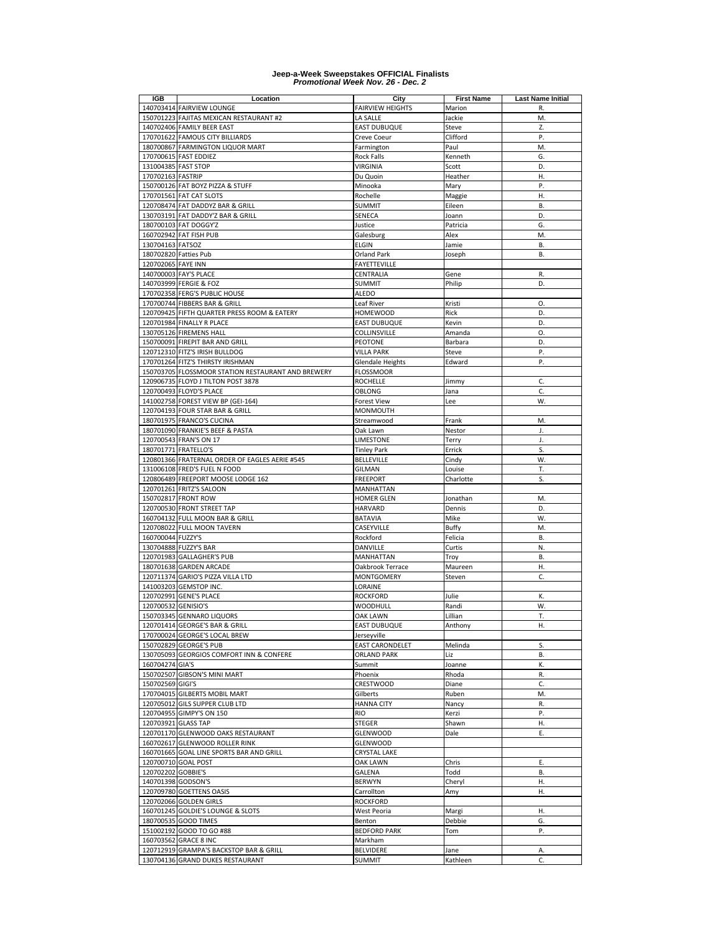| <b>IGB</b>          | Location                                           | City                    | <b>First Name</b> | <b>Last Name Initial</b> |
|---------------------|----------------------------------------------------|-------------------------|-------------------|--------------------------|
|                     | 140703414 FAIRVIEW LOUNGE                          | <b>FAIRVIEW HEIGHTS</b> | Marion            | R.                       |
|                     | 150701223 FAJITAS MEXICAN RESTAURANT #2            | LA SALLE                | Jackie            | M.                       |
|                     | 140702406 FAMILY BEER EAST                         | <b>EAST DUBUQUE</b>     | Steve             | Z.                       |
|                     | 170701622 FAMOUS CITY BILLIARDS                    | Creve Coeur             | Clifford          | P.                       |
|                     | 180700867 FARMINGTON LIQUOR MART                   | Farmington              | Paul              | M.                       |
|                     | 170700615 FAST EDDIEZ                              | Rock Falls              | Kenneth           | G.                       |
| 131004385 FAST STOP |                                                    | VIRGINIA                | Scott             | D.                       |
| 170702163 FASTRIP   |                                                    | Du Quoin                | Heather           | Η.                       |
|                     | 150700126 FAT BOYZ PIZZA & STUFF                   | Minooka                 | Mary              | Ρ.                       |
|                     | 170701561 FAT CAT SLOTS                            | Rochelle                | Maggie            | H.                       |
|                     | 120708474 FAT DADDYZ BAR & GRILL                   | <b>SUMMIT</b>           | Eileen            | <b>B.</b>                |
|                     | 130703191 FAT DADDY'Z BAR & GRILL                  | SENECA                  | Joann             | D.                       |
|                     |                                                    |                         |                   | G.                       |
|                     | 180700103 FAT DOGGY'Z                              | Justice                 | Patricia          |                          |
|                     | 160702942 FAT FISH PUB                             | Galesburg               | Alex              | M.                       |
| 130704163 FATSOZ    |                                                    | <b>ELGIN</b>            | Jamie             | В.                       |
|                     | 180702820 Fatties Pub                              | Orland Park             | Joseph            | В.                       |
| 120702065 FAYE INN  |                                                    | <b>FAYETTEVILLE</b>     |                   |                          |
|                     | 140700003 FAY'S PLACE                              | CENTRALIA               | Gene              | R.                       |
|                     | 140703999 FERGIE & FOZ                             | <b>SUMMIT</b>           | Philip            | D.                       |
|                     | 170702358 FERG'S PUBLIC HOUSE                      | <b>ALEDO</b>            |                   |                          |
|                     | 170700744 FIBBERS BAR & GRILL                      | Leaf River              | Kristi            | O.                       |
|                     | 120709425 FIFTH QUARTER PRESS ROOM & EATERY        | HOMEWOOD                | Rick              | D.                       |
|                     | 120701984 FINALLY R PLACE                          | <b>EAST DUBUQUE</b>     | Kevin             | D.                       |
|                     | 130705126 FIREMENS HALL                            | COLLINSVILLE            | Amanda            | O.                       |
|                     | 150700091 FIREPIT BAR AND GRILL                    | PEOTONE                 | Barbara           | D.                       |
|                     | 120712310 FITZ'S IRISH BULLDOG                     | <b>VILLA PARK</b>       | Steve             | Ρ.                       |
|                     | 170701264 FITZ'S THIRSTY IRISHMAN                  | <b>Glendale Heights</b> | Edward            | P.                       |
|                     | 150703705 FLOSSMOOR STATION RESTAURANT AND BREWERY | <b>FLOSSMOOR</b>        |                   |                          |
|                     | 120906735 FLOYD J TILTON POST 3878                 | <b>ROCHELLE</b>         | Jimmy             | C.                       |
|                     | 120700493 FLOYD'S PLACE                            | OBLONG                  | Jana              | C.                       |
|                     | 141002758 FOREST VIEW BP (GEI-164)                 | <b>Forest View</b>      | Lee               | W.                       |
|                     | 120704193 FOUR STAR BAR & GRILL                    | MONMOUTH                |                   |                          |
|                     | 180701975 FRANCO'S CUCINA                          | Streamwood              | Frank             | M.                       |
|                     | 180701090 FRANKIE'S BEEF & PASTA                   | Oak Lawn                | Nestor            | J.                       |
|                     | 120700543 FRAN'S ON 17                             | LIMESTONE               |                   | J.                       |
|                     | 180701771 FRATELLO'S                               | <b>Tinley Park</b>      | Terry             | S.                       |
|                     |                                                    |                         | Errick            |                          |
|                     | 120801366 FRATERNAL ORDER OF EAGLES AERIE #545     | <b>BELLEVILLE</b>       | Cindy             | W.                       |
|                     | 131006108 FRED'S FUEL N FOOD                       | <b>GILMAN</b>           | Louise            | т.                       |
|                     | 120806489 FREEPORT MOOSE LODGE 162                 | <b>FREEPORT</b>         | Charlotte         | S.                       |
|                     | 120701261 FRITZ'S SALOON                           | MANHATTAN               |                   |                          |
|                     | 150702817 FRONT ROW                                | <b>HOMER GLEN</b>       | Jonathan          | M.                       |
|                     | 120700530 FRONT STREET TAP                         | <b>HARVARD</b>          | Dennis            | D.                       |
|                     | 160704132 FULL MOON BAR & GRILL                    | BATAVIA                 | Mike              | W.                       |
|                     | 120708022 FULL MOON TAVERN                         | CASEYVILLE              | <b>Buffy</b>      | M.                       |
| 160700044 FUZZY'S   |                                                    | Rockford                | Felicia           | В.                       |
|                     | 130704888 FUZZY'S BAR                              | DANVILLE                | Curtis            | N.                       |
|                     | 120701983 GALLAGHER'S PUB                          | MANHATTAN               | Troy              | В.                       |
|                     | 180701638 GARDEN ARCADE                            | Oakbrook Terrace        | Maureen           | Н.                       |
|                     | 120711374 GARIO'S PIZZA VILLA LTD                  | MONTGOMERY              | Steven            | C.                       |
|                     | 141003203 GEMSTOP INC.                             | LORAINE                 |                   |                          |
|                     | 120702991 GENE'S PLACE                             | <b>ROCKFORD</b>         | Julie             | К.                       |
| 120700532 GENISIO'S |                                                    | WOODHULL                | Randi             | W.                       |
|                     | 150703345 GENNARO LIQUORS                          | OAK LAWN                | Lillian           | T.                       |
|                     | 120701414 GEORGE'S BAR & GRILL                     | <b>EAST DUBUQUE</b>     | Anthony           | Н.                       |
|                     | 170700024 GEORGE'S LOCAL BREW                      | Jerseyville             |                   |                          |
|                     | 150702829 GEORGE'S PUB                             | <b>EAST CARONDELET</b>  | Melinda           | S.                       |
|                     | 130705093 GEORGIOS COMFORT INN & CONFERE           | <b>ORLAND PARK</b>      | Liz               | В.                       |
| 160704274 GIA'S     |                                                    | Summit                  | Joanne            | К.                       |
|                     | 150702507 GIBSON'S MINI MART                       | Phoenix                 | Rhoda             | R.                       |
| 150702569 GIGI'S    |                                                    | CRESTWOOD               | Diane             | C.                       |
|                     | 170704015 GILBERTS MOBIL MART                      | Gilberts                | Ruben             | M.                       |
|                     | 120705012 GILS SUPPER CLUB LTD                     | <b>HANNA CITY</b>       | Nancy             | R.                       |
|                     | 120704955 GIMPY'S ON 150                           | <b>RIO</b>              | Kerzi             | Ρ.                       |
| 120703921 GLASS TAP |                                                    | STEGER                  | Shawn             | Η.                       |
|                     | 120701170 GLENWOOD OAKS RESTAURANT                 | GLENWOOD                | Dale              | Ε.                       |
|                     | 160702617 GLENWOOD ROLLER RINK                     | GLENWOOD                |                   |                          |
|                     |                                                    | <b>CRYSTAL LAKE</b>     |                   |                          |
|                     | 160701665 GOAL LINE SPORTS BAR AND GRILL           |                         |                   |                          |
|                     | 120700710 GOAL POST                                | OAK LAWN                | Chris             | Ε.                       |
| 120702202 GOBBIE'S  |                                                    | GALENA                  | Todd              | В.                       |
| 140701398 GODSON'S  |                                                    | <b>BERWYN</b>           | Cheryl            | н.                       |
|                     | 120709780 GOETTENS OASIS                           | Carrollton              | Amy               | Н.                       |
|                     | 120702066 GOLDEN GIRLS                             | <b>ROCKFORD</b>         |                   |                          |
|                     | 160701245 GOLDIE'S LOUNGE & SLOTS                  | West Peoria             | Margi             | Η.                       |
|                     | 180700535 GOOD TIMES                               | Benton                  | Debbie            | G.                       |
|                     | 151002192 GOOD TO GO #88                           | <b>BEDFORD PARK</b>     | Tom               | Ρ.                       |
|                     | 160703562 GRACE 8 INC                              | Markham                 |                   |                          |
|                     | 120712919 GRAMPA'S BACKSTOP BAR & GRILL            | BELVIDERE               | Jane              | А.                       |
|                     | 130704136 GRAND DUKES RESTAURANT                   | <b>SUMMIT</b>           | Kathleen          | C.                       |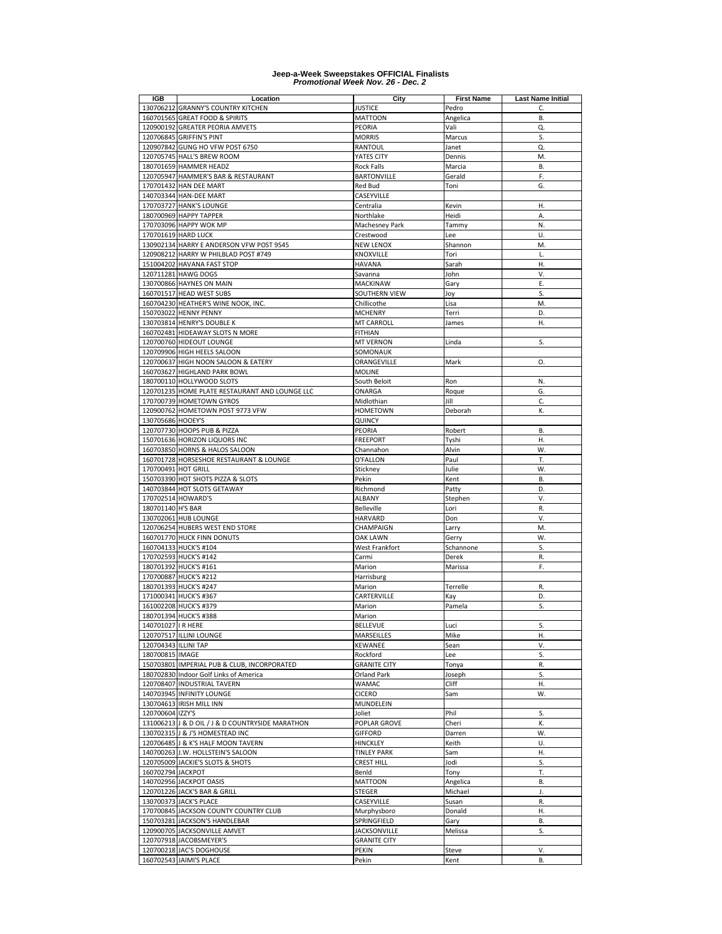| IGB                  | Location                                                                         | City                       | <b>First Name</b> | <b>Last Name Initial</b> |
|----------------------|----------------------------------------------------------------------------------|----------------------------|-------------------|--------------------------|
|                      | 130706212 GRANNY'S COUNTRY KITCHEN                                               | <b>JUSTICE</b>             | Pedro             | C.                       |
|                      | 160701565 GREAT FOOD & SPIRITS                                                   | <b>MATTOON</b>             | Angelica          | <b>B.</b>                |
|                      | 120900192 GREATER PEORIA AMVETS                                                  | PEORIA                     | Vali              | Q.                       |
|                      | 120706845 GRIFFIN'S PINT                                                         | <b>MORRIS</b>              | Marcus            | S.                       |
|                      | 120907842 GUNG HO VFW POST 6750                                                  | RANTOUL                    | Janet             | Q.                       |
|                      | 120705745 HALL'S BREW ROOM                                                       | YATES CITY                 | Dennis            | M.                       |
|                      | 180701659 HAMMER HEADZ                                                           | <b>Rock Falls</b>          | Marcia            | В.                       |
|                      | 120705947 HAMMER'S BAR & RESTAURANT                                              | <b>BARTONVILLE</b>         | Gerald            | F.                       |
|                      | 170701432 HAN DEE MART                                                           | Red Bud                    | Toni              | G.                       |
|                      | 140703344 HAN-DEE MART                                                           | CASEYVILLE                 |                   |                          |
|                      | 170703727 HANK'S LOUNGE                                                          | Centralia                  | Kevin             | Η.                       |
|                      | 180700969 HAPPY TAPPER                                                           | Northlake                  | Heidi             | Α.                       |
|                      | 170703096 HAPPY WOK MP                                                           | Machesney Park             | Tammy             | N.                       |
|                      | 170701619 HARD LUCK                                                              | Crestwood                  | Lee               | U.                       |
|                      | 130902134 HARRY E ANDERSON VFW POST 9545<br>120908212 HARRY W PHILBLAD POST #749 | <b>NEW LENOX</b>           | Shannon           | M.<br>L.                 |
|                      | 151004202 HAVANA FAST STOP                                                       | KNOXVILLE<br><b>HAVANA</b> | Tori              | Η.                       |
|                      | 120711281 HAWG DOGS                                                              | Savanna                    | Sarah<br>John     | ٧.                       |
|                      | 130700866 HAYNES ON MAIN                                                         | MACKINAW                   | Gary              | E.                       |
|                      | 160701517 HEAD WEST SUBS                                                         | SOUTHERN VIEW              | Joy               | S.                       |
|                      | 160704230 HEATHER'S WINE NOOK, INC.                                              | Chillicothe                | Lisa              | M.                       |
|                      | 150703022 HENNY PENNY                                                            | <b>MCHENRY</b>             | Terri             | D.                       |
|                      | 130703814 HENRY'S DOUBLE K                                                       | <b>MT CARROLL</b>          | James             | Η.                       |
|                      | 160702481 HIDEAWAY SLOTS N MORE                                                  | <b>FITHIAN</b>             |                   |                          |
|                      | 120700760 HIDEOUT LOUNGE                                                         | <b>MT VERNON</b>           | Linda             | S.                       |
|                      | 120709906 HIGH HEELS SALOON                                                      | SOMONAUK                   |                   |                          |
|                      | 120700637 HIGH NOON SALOON & EATERY                                              | ORANGEVILLE                | Mark              | 0.                       |
|                      | 160703627 HIGHLAND PARK BOWL                                                     | <b>MOLINE</b>              |                   |                          |
|                      | 180700110 HOLLYWOOD SLOTS                                                        | South Beloit               | Ron               | N.                       |
|                      | 120701235 HOME PLATE RESTAURANT AND LOUNGE LLC                                   | ONARGA                     | Roque             | G.                       |
|                      | 170700739 HOMETOWN GYROS                                                         | Midlothian                 | Jill              | C.                       |
|                      | 120900762 HOMETOWN POST 9773 VFW                                                 | <b>HOMETOWN</b>            | Deborah           | K.                       |
| 130705686 HOOEY'S    |                                                                                  | QUINCY                     |                   |                          |
|                      | 120707730 HOOPS PUB & PIZZA                                                      | PEORIA                     | Robert            | В.                       |
|                      | 150701636 HORIZON LIQUORS INC                                                    | <b>FREEPORT</b>            | Tyshi             | Η.                       |
|                      | 160703850 HORNS & HALOS SALOON                                                   | Channahon                  | Alvin             | W.                       |
|                      | 160701728 HORSESHOE RESTAURANT & LOUNGE                                          | O'FALLON                   | Paul              | Т.                       |
| 170700491 HOT GRILL  |                                                                                  | Stickney                   | Julie             | W.                       |
|                      | 150703390 HOT SHOTS PIZZA & SLOTS                                                | Pekin                      | Kent              | В.                       |
|                      | 140703844 HOT SLOTS GETAWAY                                                      | Richmond                   | Patty             | D.                       |
|                      | 170702514 HOWARD'S                                                               | ALBANY                     | Stephen           | ٧.                       |
| 180701140 H'S BAR    |                                                                                  | <b>Belleville</b>          | Lori              | R.                       |
|                      | 130702061 HUB LOUNGE                                                             | <b>HARVARD</b>             | Don               | ٧.                       |
|                      | 120706254 HUBERS WEST END STORE                                                  | CHAMPAIGN                  | Larry             | M.                       |
|                      | 160701770 HUCK FINN DONUTS                                                       | <b>OAK LAWN</b>            | Gerry             | W.                       |
|                      | 160704133 HUCK'S #104                                                            | West Frankfort             | Schannone         | S.                       |
|                      | 170702593 HUCK'S #142                                                            | Carmi                      | Derek             | R.                       |
|                      | 180701392 HUCK'S #161                                                            | Marion                     | Marissa           | F.                       |
|                      | 170700887 HUCK'S #212                                                            | Harrisburg                 |                   |                          |
|                      | 180701393 HUCK'S #247                                                            | Marion                     | Terrelle          | R.                       |
|                      | 171000341 HUCK'S #367                                                            | CARTERVILLE                | Kay               | D.                       |
|                      | 161002208 HUCK'S #379                                                            | Marion                     | Pamela            | S.                       |
|                      | 180701394 HUCK'S #388                                                            | Marion                     |                   |                          |
| 140701027   R HERE   |                                                                                  | BELLEVUE                   | Luci              | S.                       |
|                      | 120707517 ILLINI LOUNGE                                                          | MARSEILLES                 | Mike              | Η.                       |
| 120704343 ILLINI TAP |                                                                                  | KEWANEE                    | Sean              | ٧.                       |
| 180700815 IMAGE      |                                                                                  | Rockford                   | Lee               | S.                       |
|                      | 150703801 IMPERIAL PUB & CLUB, INCORPORATED                                      | <b>GRANITE CITY</b>        | Tonya             | R.                       |
|                      | 180702830 Indoor Golf Links of America                                           | Orland Park                | Joseph            | S.                       |
|                      | 120708407 INDUSTRIAL TAVERN                                                      | WAMAC                      | Cliff             | Η.                       |
|                      | 140703945 INFINITY LOUNGE                                                        | <b>CICERO</b>              | Sam               | W.                       |
|                      | 130704613 IRISH MILL INN                                                         | MUNDELEIN                  |                   |                          |
| 120700604 IZZY'S     |                                                                                  | Joliet                     | Phil              | S.                       |
|                      | 131006213 J & D OIL / J & D COUNTRYSIDE MARATHON                                 | POPLAR GROVE               | Cheri             | Κ.                       |
|                      | 130702315 J & J'S HOMESTEAD INC                                                  | <b>GIFFORD</b>             | Darren            | W.                       |
|                      | 120706485 J & K'S HALF MOON TAVERN                                               | <b>HINCKLEY</b>            | Keith             | U.                       |
|                      | 140700263 J.W. HOLLSTEIN'S SALOON                                                | <b>TINLEY PARK</b>         | Sam               | Η.                       |
|                      | 120705009 JACKIE'S SLOTS & SHOTS                                                 | <b>CREST HILL</b>          | Jodi              | S.                       |
| 160702794 JACKPOT    |                                                                                  | Benid                      | Tony              | Т.                       |
|                      | 140702956 JACKPOT OASIS                                                          | <b>MATTOON</b>             | Angelica          | В.                       |
|                      | 120701226 JACK'S BAR & GRILL                                                     | STEGER                     | Michael           | J.                       |
|                      | 130700373 JACK'S PLACE                                                           | CASEYVILLE                 | Susan             | R.                       |
|                      | 170700845 JACKSON COUNTY COUNTRY CLUB                                            | Murphysboro                | Donald            | Η.                       |
|                      | 150703281 JACKSON'S HANDLEBAR                                                    | SPRINGFIELD                | Gary              | В.                       |
|                      | 120900705 JACKSONVILLE AMVET                                                     | <b>JACKSONVILLE</b>        | Melissa           | S.                       |
|                      | 120707918 JACOBSMEYER'S                                                          | <b>GRANITE CITY</b>        |                   |                          |
|                      | 120700218 JAC'S DOGHOUSE                                                         | PEKIN                      | Steve             | V.                       |
|                      | 160702543 JAIMI'S PLACE                                                          | Pekin                      | Kent              | В.                       |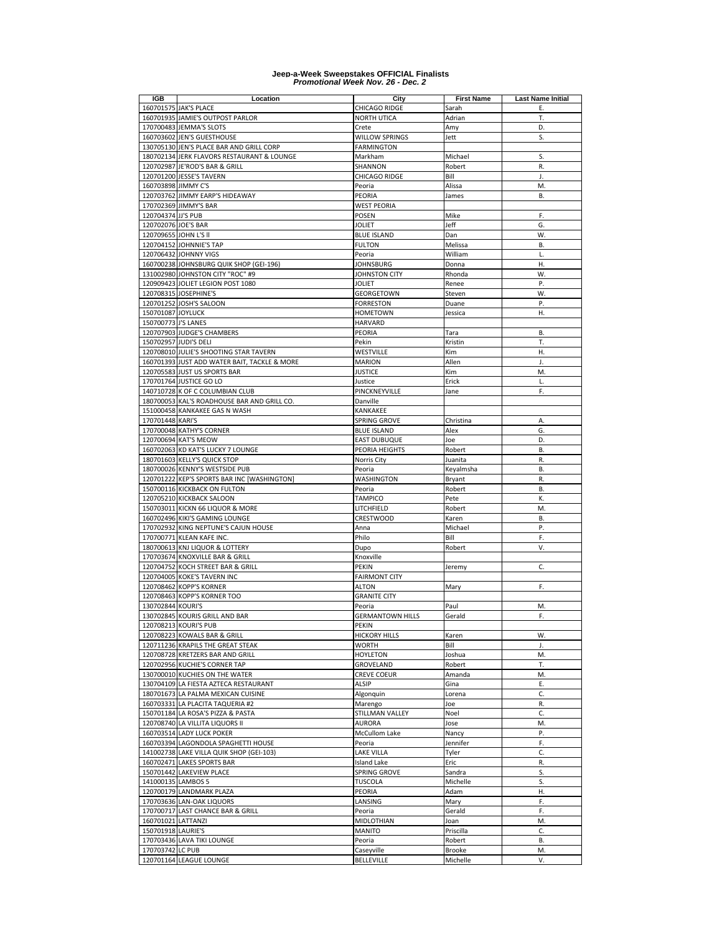| IGB                   | Location                                                                               | City                         | <b>First Name</b> | <b>Last Name Initial</b> |
|-----------------------|----------------------------------------------------------------------------------------|------------------------------|-------------------|--------------------------|
|                       | 160701575 JAK'S PLACE                                                                  | CHICAGO RIDGE                | Sarah             | Ε.                       |
|                       | 160701935 JAMIE'S OUTPOST PARLOR                                                       | NORTH UTICA                  | Adrian            | Т.                       |
|                       | 170700483 JEMMA'S SLOTS                                                                | Crete                        | Amy               | D.                       |
|                       | 160703602 JEN'S GUESTHOUSE                                                             | WILLOW SPRINGS               | Jett              | S.                       |
|                       | 130705130 JEN'S PLACE BAR AND GRILL CORP<br>180702134 JERK FLAVORS RESTAURANT & LOUNGE | <b>FARMINGTON</b><br>Markham | Michael           | S.                       |
|                       | 120702987 JE'ROD'S BAR & GRILL                                                         | SHANNON                      |                   | R.                       |
|                       | 120701200 JESSE'S TAVERN                                                               |                              | Robert<br>Bill    | J.                       |
| 160703898 JIMMY C'S   |                                                                                        | CHICAGO RIDGE<br>Peoria      | Alissa            | M.                       |
|                       | 120703762 JIMMY EARP'S HIDEAWAY                                                        | PEORIA                       | James             | В.                       |
|                       | 170702369 JIMMY'S BAR                                                                  | <b>WEST PEORIA</b>           |                   |                          |
| 120704374 JJ'S PUB    |                                                                                        | <b>POSEN</b>                 | Mike              | F.                       |
| 120702076 JOE'S BAR   |                                                                                        | <b>JOLIET</b>                | Jeff              | G.                       |
| 120709655 JOHN L'S II |                                                                                        | <b>BLUE ISLAND</b>           | Dan               | W.                       |
|                       | 120704152 JOHNNIE'S TAP                                                                | <b>FULTON</b>                | Melissa           | <b>B.</b>                |
|                       | 120706432 JOHNNY VIGS                                                                  | Peoria                       | William           | L.                       |
|                       | 160700238 JOHNSBURG QUIK SHOP (GEI-196)                                                | <b>JOHNSBURG</b>             | Donna             | Η.                       |
|                       | 131002980 JOHNSTON CITY "ROC" #9                                                       | JOHNSTON CITY                | Rhonda            | W.                       |
|                       | 120909423 JOLIET LEGION POST 1080                                                      | <b>JOLIET</b>                | Renee             | P.                       |
|                       | 120708315 JOSEPHINE'S                                                                  | GEORGETOWN                   | Steven            | W.                       |
|                       | 120701252 JOSH'S SALOON                                                                | <b>FORRESTON</b>             | Duane             | Ρ.                       |
| 150701087 JOYLUCK     |                                                                                        | HOMETOWN                     | Jessica           | Η.                       |
| 150700773 J'S LANES   |                                                                                        | HARVARD                      |                   |                          |
|                       | 120707903 JUDGE'S CHAMBERS                                                             | PEORIA                       | Tara              | В.                       |
|                       | 150702957 JUDI'S DELI                                                                  | Pekin                        | Kristin           | Т.                       |
|                       | 120708010 JULIE'S SHOOTING STAR TAVERN                                                 | <b>WESTVILLE</b>             | Kim               | Η.                       |
|                       | 160701393 JUST ADD WATER BAIT, TACKLE & MORE                                           | MARION                       | Allen             | J.                       |
|                       | 120705583 JUST US SPORTS BAR                                                           | JUSTICE                      | Kim               | M.                       |
|                       | 170701764 JUSTICE GO LO                                                                | Justice                      | Erick             | L.                       |
|                       | 140710728 K OF C COLUMBIAN CLUB                                                        | PINCKNEYVILLE                | Jane              | F.                       |
|                       | 180700053 KAL'S ROADHOUSE BAR AND GRILL CO.                                            | Danville                     |                   |                          |
|                       | 151000458 KANKAKEE GAS N WASH                                                          | KANKAKEE                     |                   |                          |
| 170701448 KARI'S      |                                                                                        | SPRING GROVE                 | Christina         | А.                       |
|                       | 170700048 KATHY'S CORNER                                                               | <b>BLUE ISLAND</b>           | Alex              | G.                       |
|                       | 120700694 KAT'S MEOW<br>160702063 KD KAT'S LUCKY 7 LOUNGE                              | <b>EAST DUBUQUE</b>          | Joe               | D.<br><b>B.</b>          |
|                       | 180701603 KELLY'S QUICK STOP                                                           | PEORIA HEIGHTS               | Robert<br>Juanita | R.                       |
|                       | 180700026 KENNY'S WESTSIDE PUB                                                         | Norris City<br>Peoria        | Keyalmsha         | В.                       |
|                       | 120701222 KEP'S SPORTS BAR INC [WASHINGTON]                                            | WASHINGTON                   | Bryant            | R.                       |
|                       | 150700116 KICKBACK ON FULTON                                                           | Peoria                       | Robert            | <b>B.</b>                |
|                       | 120705210 KICKBACK SALOON                                                              | <b>TAMPICO</b>               | Pete              | К.                       |
|                       | 150703011 KICKN 66 LIQUOR & MORE                                                       | LITCHFIELD                   | Robert            | M.                       |
|                       | 160702496 KIKI'S GAMING LOUNGE                                                         | CRESTWOOD                    | Karen             | <b>B.</b>                |
|                       | 170702932 KING NEPTUNE'S CAJUN HOUSE                                                   | Anna                         | Michael           | P.                       |
|                       | 170700771 KLEAN KAFE INC.                                                              | Philo                        | Bill              | F.                       |
|                       | 180700613 KNJ LIQUOR & LOTTERY                                                         | Dupo                         | Robert            | ٧.                       |
|                       | 170703674 KNOXVILLE BAR & GRILL                                                        | Knoxville                    |                   |                          |
|                       | 120704752 KOCH STREET BAR & GRILL                                                      | PEKIN                        | Jeremy            | C.                       |
|                       | 120704005 KOKE'S TAVERN INC                                                            | <b>FAIRMONT CITY</b>         |                   |                          |
|                       | 120708462 KOPP'S KORNER                                                                | ALTON                        | Mary              | F.                       |
|                       | 120708463 KOPP'S KORNER TOO                                                            | <b>GRANITE CITY</b>          |                   |                          |
| 130702844 KOURI'S     |                                                                                        | Peoria                       | Paul              | M.                       |
|                       | 130702845 KOURIS GRILL AND BAR                                                         | <b>GERMANTOWN HILLS</b>      | Gerald            | F.                       |
|                       | 120708213 KOURI'S PUB                                                                  | PEKIN                        |                   |                          |
|                       | 120708223 KOWALS BAR & GRILL                                                           | <b>HICKORY HILLS</b>         | Karen             | W.                       |
|                       | 120711236 KRAPILS THE GREAT STEAK                                                      | WORTH                        | Bill              | J.                       |
|                       | 120708728 KRETZERS BAR AND GRILL                                                       | <b>HOYLETON</b>              | Joshua            | M.                       |
|                       | 120702956 KUCHIE'S CORNER TAP                                                          | GROVELAND                    | Robert            | T.                       |
|                       | 130700010 KUCHIES ON THE WATER                                                         | <b>CREVE COEUR</b>           | Amanda            | M.                       |
|                       | 130704109 LA FIESTA AZTECA RESTAURANT<br>180701673 LA PALMA MEXICAN CUISINE            | <b>ALSIP</b>                 | Gina              | Ε.<br>C.                 |
|                       |                                                                                        | Algonquin                    | Lorena            |                          |
|                       | 160703331 LA PLACITA TAQUERIA #2<br>150701184 LA ROSA'S PIZZA & PASTA                  | Marengo<br>STILLMAN VALLEY   | Joe<br>Noel       | R.<br>C.                 |
|                       | 120708740 LA VILLITA LIQUORS II                                                        | <b>AURORA</b>                | Jose              | M.                       |
|                       | 160703514 LADY LUCK POKER                                                              | <b>McCullom Lake</b>         | Nancy             | Ρ.                       |
|                       | 160703394 LAGONDOLA SPAGHETTI HOUSE                                                    | Peoria                       | Jennifer          | F.                       |
|                       | 141002738 LAKE VILLA QUIK SHOP (GEI-103)                                               | <b>LAKE VILLA</b>            | Tyler             | C.                       |
|                       | 160702471 LAKES SPORTS BAR                                                             | <b>Island Lake</b>           | Eric              | R.                       |
|                       | 150701442 LAKEVIEW PLACE                                                               | SPRING GROVE                 | Sandra            | S.                       |
| 141000135 LAMBOS 5    |                                                                                        | TUSCOLA                      | Michelle          | S.                       |
|                       | 120700179 LANDMARK PLAZA                                                               | PEORIA                       | Adam              | Η.                       |
|                       | 170703636 LAN-OAK LIQUORS                                                              | LANSING                      | Mary              | F.                       |
|                       | 170700717 LAST CHANCE BAR & GRILL                                                      | Peoria                       | Gerald            | F.                       |
| 160701021 LATTANZI    |                                                                                        | MIDLOTHIAN                   | Joan              | M.                       |
| 150701918 LAURIE'S    |                                                                                        | <b>MANITO</b>                | Priscilla         | C.                       |
|                       | 170703436 LAVA TIKI LOUNGE                                                             | Peoria                       | Robert            | В.                       |
| 170703742 LC PUB      |                                                                                        | Caseyville                   | Brooke            | M.                       |
|                       | 120701164 LEAGUE LOUNGE                                                                | BELLEVILLE                   | Michelle          | ν.                       |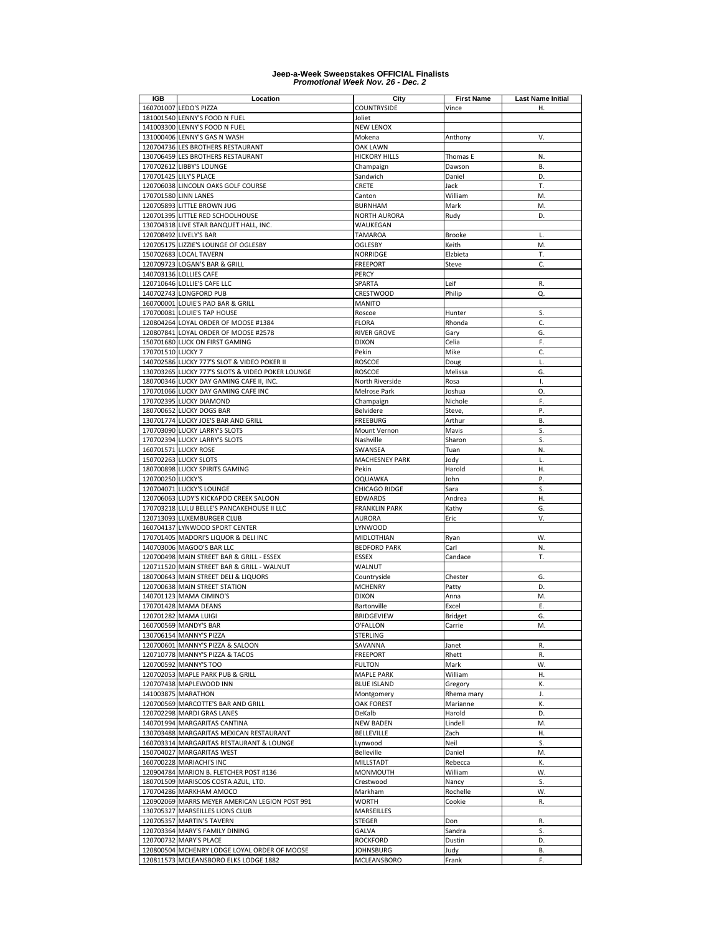| <b>IGB</b>        | Location                                         | City                  | <b>First Name</b> | <b>Last Name Initial</b> |
|-------------------|--------------------------------------------------|-----------------------|-------------------|--------------------------|
|                   | 160701007 LEDO'S PIZZA                           | COUNTRYSIDE           | Vince             | Η.                       |
|                   | 181001540 LENNY'S FOOD N FUEL                    | Joliet                |                   |                          |
|                   |                                                  |                       |                   |                          |
|                   | 141003300 LENNY'S FOOD N FUEL                    | <b>NEW LENOX</b>      |                   |                          |
|                   | 131000406 LENNY'S GAS N WASH                     | Mokena                | Anthony           | V.                       |
|                   | 120704736 LES BROTHERS RESTAURANT                | <b>OAK LAWN</b>       |                   |                          |
|                   | 130706459 LES BROTHERS RESTAURANT                | <b>HICKORY HILLS</b>  | Thomas E          | N.                       |
|                   | 170702612 LIBBY'S LOUNGE                         | Champaign             | Dawson            | В.                       |
|                   | 170701425 LILY'S PLACE                           | Sandwich              | Daniel            | D.                       |
|                   | 120706038 LINCOLN OAKS GOLF COURSE               | CRETE                 | Jack              | T.                       |
|                   | 170701580 LINN LANES                             | Canton                | William           | M.                       |
|                   | 120705893 LITTLE BROWN JUG                       | <b>BURNHAM</b>        | Mark              | M.                       |
|                   | 120701395 LITTLE RED SCHOOLHOUSE                 | <b>NORTH AURORA</b>   | Rudy              | D.                       |
|                   |                                                  | WAUKEGAN              |                   |                          |
|                   | 130704318 LIVE STAR BANQUET HALL, INC.           |                       |                   |                          |
|                   | 120708492 LIVELY'S BAR                           | <b>TAMAROA</b>        | <b>Brooke</b>     | L.                       |
|                   | 120705175 LIZZIE'S LOUNGE OF OGLESBY             | OGLESBY               | Keith             | M.                       |
|                   | 150702683 LOCAL TAVERN                           | <b>NORRIDGE</b>       | Elzbieta          | T.                       |
|                   | 120709723 LOGAN'S BAR & GRILL                    | <b>FREEPORT</b>       | Steve             | C.                       |
|                   | 140703136 LOLLIES CAFE                           | PERCY                 |                   |                          |
|                   | 120710646 LOLLIE'S CAFE LLC                      | SPARTA                | Leif              | R.                       |
|                   | 140702743 LONGFORD PUB                           | CRESTWOOD             | Philip            | Q.                       |
|                   | 160700001 LOUIE'S PAD BAR & GRILL                | <b>MANITO</b>         |                   |                          |
|                   | 170700081 LOUIE'S TAP HOUSE                      | Roscoe                | Hunter            | S.                       |
|                   | 120804264 LOYAL ORDER OF MOOSE #1384             |                       | Rhonda            | C.                       |
|                   |                                                  | <b>FLORA</b>          |                   |                          |
|                   | 120807841 LOYAL ORDER OF MOOSE #2578             | <b>RIVER GROVE</b>    | Gary              | G.                       |
|                   | 150701680 LUCK ON FIRST GAMING                   | <b>DIXON</b>          | Celia             | F.                       |
| 170701510 LUCKY 7 |                                                  | Pekin                 | Mike              | C.                       |
|                   | 140702586 LUCKY 777'S SLOT & VIDEO POKER II      | <b>ROSCOE</b>         | Doug              | L.                       |
|                   | 130703265 LUCKY 777'S SLOTS & VIDEO POKER LOUNGE | <b>ROSCOE</b>         | Melissa           | G.                       |
|                   | 180700346 LUCKY DAY GAMING CAFE II, INC.         | North Riverside       | Rosa              | I.                       |
|                   | 170701066 LUCKY DAY GAMING CAFE INC              | Melrose Park          | Joshua            | О.                       |
|                   | 170702395 LUCKY DIAMOND                          | Champaign             | Nichole           | F.                       |
|                   | 180700652 LUCKY DOGS BAR                         | Belvidere             | Steve,            | Ρ.                       |
|                   |                                                  |                       |                   |                          |
|                   | 130701774 LUCKY JOE'S BAR AND GRILL              | <b>FREEBURG</b>       | Arthur            | В.                       |
|                   | 170703090 LUCKY LARRY'S SLOTS                    | Mount Vernon          | Mavis             | S.                       |
|                   | 170702394 LUCKY LARRY'S SLOTS                    | Nashville             | Sharon            | S.                       |
|                   | 160701571 LUCKY ROSE                             | SWANSEA               | Tuan              | N.                       |
|                   | 150702263 LUCKY SLOTS                            | <b>MACHESNEY PARK</b> | Jody              | L.                       |
|                   | 180700898 LUCKY SPIRITS GAMING                   | Pekin                 | Harold            | Η.                       |
| 120700250 LUCKY'S |                                                  | <b>OQUAWKA</b>        | John              | P.                       |
|                   | 120704071 LUCKY'S LOUNGE                         | CHICAGO RIDGE         | Sara              | S.                       |
|                   | 120706063 LUDY'S KICKAPOO CREEK SALOON           | <b>EDWARDS</b>        | Andrea            | Η.                       |
|                   | 170703218 LULU BELLE'S PANCAKEHOUSE II LLC       | <b>FRANKLIN PARK</b>  | Kathy             | G.                       |
|                   | 120713093 LUXEMBURGER CLUB                       | <b>AURORA</b>         | Eric              | ٧.                       |
|                   |                                                  |                       |                   |                          |
|                   | 160704137 LYNWOOD SPORT CENTER                   | LYNWOOD               |                   |                          |
|                   | 170701405 MADORI'S LIQUOR & DELI INC             | MIDLOTHIAN            | Ryan              | W.                       |
|                   | 140703006 MAGOO'S BAR LLC                        | <b>BEDFORD PARK</b>   | Carl              | N.                       |
|                   | 120700498 MAIN STREET BAR & GRILL - ESSEX        | <b>ESSEX</b>          | Candace           | Т.                       |
|                   | 120711520 MAIN STREET BAR & GRILL - WALNUT       | WALNUT                |                   |                          |
|                   | 180700643 MAIN STREET DELI & LIQUORS             | Countryside           | Chester           | G.                       |
|                   | 120700638 MAIN STREET STATION                    | <b>MCHENRY</b>        | Patty             | D.                       |
|                   | 140701123 MAMA CIMINO'S                          | <b>DIXON</b>          | Anna              | M.                       |
|                   | 170701428 MAMA DEANS                             | Bartonville           | Excel             | Ε.                       |
|                   | 120701282 MAMA LUIGI                             | <b>BRIDGEVIEW</b>     | <b>Bridget</b>    | G.                       |
|                   | 160700569 MANDY'S BAR                            | O'FALLON              | Carrie            | M.                       |
|                   | 130706154 MANNY'S PIZZA                          | STERLING              |                   |                          |
|                   |                                                  |                       |                   |                          |
|                   | 120700601 MANNY'S PIZZA & SALOON                 | SAVANNA               | Janet             | R.                       |
|                   | 120710778 MANNY'S PIZZA & TACOS                  | <b>FREEPORT</b>       | Rhett             | R.                       |
|                   | 120700592 MANNY'S TOO                            | <b>FULTON</b>         | Mark              | W.                       |
|                   | 120702053 MAPLE PARK PUB & GRILL                 | <b>MAPLE PARK</b>     | William           | Η.                       |
|                   | 120707438 MAPLEWOOD INN                          | <b>BLUE ISLAND</b>    | Gregory           | К.                       |
|                   | 141003875 MARATHON                               | Montgomery            | Rhema mary        | J.                       |
|                   | 120700569 MARCOTTE'S BAR AND GRILL               | <b>OAK FOREST</b>     | Marianne          | K.                       |
|                   | 120702298 MARDI GRAS LANES                       | DeKalb                | Harold            | D.                       |
|                   | 140701994 MARGARITAS CANTINA                     | <b>NEW BADEN</b>      | Lindell           | M.                       |
|                   | 130703488 MARGARITAS MEXICAN RESTAURANT          | BELLEVILLE            | Zach              | Η.                       |
|                   | 160703314 MARGARITAS RESTAURANT & LOUNGE         | Lynwood               | Neil              | S.                       |
|                   | 150704027 MARGARITAS WEST                        | Belleville            | Daniel            | M.                       |
|                   |                                                  |                       |                   |                          |
|                   | 160700228 MARIACHI'S INC                         | MILLSTADT             | Rebecca           | Κ.                       |
|                   | 120904784 MARION B. FLETCHER POST #136           | MONMOUTH              | William           | W.                       |
|                   | 180701509 MARISCOS COSTA AZUL, LTD.              | Crestwood             | Nancy             | S.                       |
|                   | 170704286 MARKHAM AMOCO                          | Markham               | Rochelle          | W.                       |
|                   | 120902069 MARRS MEYER AMERICAN LEGION POST 991   | WORTH                 | Cookie            | R.                       |
|                   | 130705327 MARSEILLES LIONS CLUB                  | MARSEILLES            |                   |                          |
|                   | 120705357 MARTIN'S TAVERN                        | STEGER                | Don               | R.                       |
|                   | 120703364 MARY'S FAMILY DINING                   | <b>GALVA</b>          | Sandra            | S.                       |
|                   | 120700732 MARY'S PLACE                           | <b>ROCKFORD</b>       | Dustin            | D.                       |
|                   | 120800504 MCHENRY LODGE LOYAL ORDER OF MOOSE     | JOHNSBURG             | Judy              | В.                       |
|                   | 120811573 MCLEANSBORO ELKS LODGE 1882            | MCLEANSBORO           | Frank             | F.                       |
|                   |                                                  |                       |                   |                          |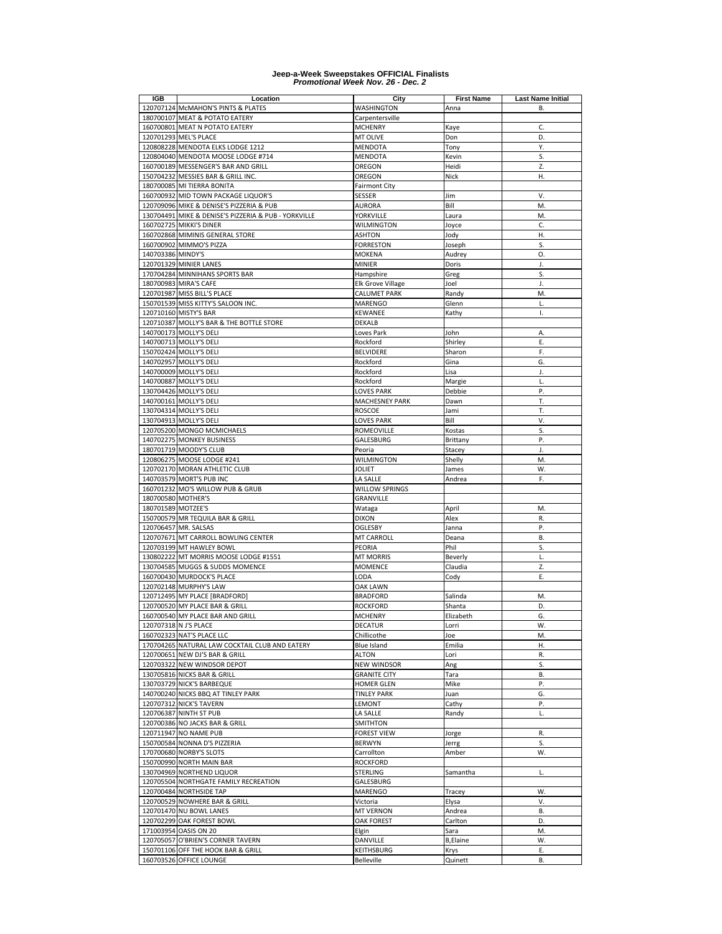| IGB                | Location                                                                        | City                    | <b>First Name</b> | <b>Last Name Initial</b> |
|--------------------|---------------------------------------------------------------------------------|-------------------------|-------------------|--------------------------|
|                    | 120707124 McMAHON'S PINTS & PLATES                                              | <b>WASHINGTON</b>       | Anna              | В.                       |
|                    | 180700107 MEAT & POTATO EATERY                                                  | Carpentersville         |                   |                          |
|                    | 160700801 MEAT N POTATO EATERY                                                  | <b>MCHENRY</b>          | Kaye              | C.                       |
|                    | 120701293 MEL'S PLACE                                                           | MT OLIVE                | Don               | D.                       |
|                    | 120808228 MENDOTA ELKS LODGE 1212                                               | <b>MENDOTA</b>          | Tony              | Y.                       |
|                    | 120804040 MENDOTA MOOSE LODGE #714                                              | <b>MENDOTA</b>          | Kevin             | S.                       |
|                    | 160700189 MESSENGER'S BAR AND GRILL                                             | OREGON                  | Heidi             | Z.                       |
|                    | 150704232 MESSIES BAR & GRILL INC.                                              | OREGON                  | Nick              | Η.                       |
|                    | 180700085 MI TIERRA BONITA                                                      | <b>Fairmont City</b>    |                   |                          |
|                    | 160700932 MID TOWN PACKAGE LIQUOR'S                                             | SESSER                  | Jim               | ٧.                       |
|                    | 120709096 MIKE & DENISE'S PIZZERIA & PUB                                        | AURORA                  | Bill              | M.<br>M.                 |
|                    | 130704491 MIKE & DENISE'S PIZZERIA & PUB - YORKVILLE<br>160702725 MIKKI'S DINER | YORKVILLE<br>Wilmington | Laura<br>Joyce    | C.                       |
|                    | 160702868 MIMINIS GENERAL STORE                                                 | <b>ASHTON</b>           | Jody              | Н.                       |
|                    | 160700902 MIMMO'S PIZZA                                                         | <b>FORRESTON</b>        | Joseph            | S.                       |
| 140703386 MINDY'S  |                                                                                 | <b>MOKENA</b>           | Audrey            | 0.                       |
|                    | 120701329 MINIER LANES                                                          | <b>MINIER</b>           | Doris             | J.                       |
|                    | 170704284 MINNIHANS SPORTS BAR                                                  | Hampshire               | Greg              | S.                       |
|                    | 180700983 MIRA'S CAFE                                                           | Elk Grove Village       | Joel              | J.                       |
|                    | 120701987 MISS BILL'S PLACE                                                     | CALUMET PARK            | Randy             | M.                       |
|                    | 150701539 MISS KITTY'S SALOON INC.                                              | <b>MARENGO</b>          | Glenn             | L.                       |
|                    | 120710160 MISTY'S BAR                                                           | <b>KEWANEE</b>          | Kathy             | Τ.                       |
|                    | 120710387 MOLLY'S BAR & THE BOTTLE STORE                                        | <b>DEKALB</b>           |                   |                          |
|                    | 140700173 MOLLY'S DELI                                                          | Loves Park              | John              | Α.                       |
|                    | 140700713 MOLLY'S DELI                                                          | Rockford                | Shirley           | Ε.                       |
|                    | 150702424 MOLLY'S DELI                                                          | <b>BELVIDERE</b>        | Sharon            | F.                       |
|                    | 140702957 MOLLY'S DELI                                                          | Rockford                | Gina              | G.                       |
|                    | 140700009 MOLLY'S DELI                                                          | Rockford                | Lisa              | J.                       |
|                    | 140700887 MOLLY'S DELI                                                          | Rockford                | Margie            | L.                       |
|                    | 130704426 MOLLY'S DELI                                                          | <b>LOVES PARK</b>       | Debbie            | P.                       |
|                    | 140700161 MOLLY'S DELI                                                          | <b>MACHESNEY PARK</b>   | Dawn              | T.                       |
|                    | 130704314 MOLLY'S DELI                                                          | <b>ROSCOE</b>           | Jami              | T.                       |
|                    | 130704913 MOLLY'S DELI                                                          | LOVES PARK              | Bill              | ۷.                       |
|                    | 120705200 MONGO MCMICHAELS                                                      | <b>ROMEOVILLE</b>       | Kostas            | S.                       |
|                    | 140702275 MONKEY BUSINESS                                                       | GALESBURG               | Brittany          | Ρ.                       |
|                    | 180701719 MOODY'S CLUB                                                          | Peoria                  | Stacey            | J.                       |
|                    | 120806275 MOOSE LODGE #241                                                      | <b>WILMINGTON</b>       | Shelly            | M.                       |
|                    | 120702170 MORAN ATHLETIC CLUB                                                   | JOLIET                  | James             | W.                       |
|                    | 140703579 MORT'S PUB INC                                                        | LA SALLE                | Andrea            | F.                       |
|                    | 160701232 MO'S WILLOW PUB & GRUB                                                | WILLOW SPRINGS          |                   |                          |
| 180700580 MOTHER'S |                                                                                 | GRANVILLE               |                   |                          |
| 180701589 MOTZEE'S |                                                                                 | Wataga                  | April             | M.                       |
|                    | 150700579 MR TEQUILA BAR & GRILL                                                | <b>DIXON</b>            | Alex              | R.                       |
|                    | 120706457 MR. SALSAS                                                            | OGLESBY                 | Janna             | Ρ.                       |
|                    | 120707671 MT CARROLL BOWLING CENTER                                             | MT CARROLL              | Deana             | В.                       |
|                    | 120703199 MT HAWLEY BOWL                                                        | PEORIA                  | Phil              | S.                       |
|                    | 130802222 MT MORRIS MOOSE LODGE #1551                                           | <b>MT MORRIS</b>        | Beverly           | L.                       |
|                    | 130704585 MUGGS & SUDDS MOMENCE                                                 | <b>MOMENCE</b>          | Claudia           | Z.<br>Ε.                 |
|                    | 160700430 MURDOCK'S PLACE<br>120702148 MURPHY'S LAW                             | LODA<br><b>OAK LAWN</b> | Cody              |                          |
|                    | 120712495 MY PLACE [BRADFORD]                                                   | <b>BRADFORD</b>         | Salinda           | M.                       |
|                    | 120700520 MY PLACE BAR & GRILL                                                  | <b>ROCKFORD</b>         | Shanta            | D.                       |
|                    | 160700540 MY PLACE BAR AND GRILL                                                | <b>MCHENRY</b>          | Elizabeth         | G.                       |
|                    | 120707318 N J'S PLACE                                                           | DECATUR                 | Lorri             | W.                       |
|                    | 160702323 NAT'S PLACE LLC                                                       | Chillicothe             | Joe               | M.                       |
|                    | 170704265 NATURAL LAW COCKTAIL CLUB AND EATERY                                  | Blue Island             | Emilia            | Η.                       |
|                    | 120700651 NEW DJ'S BAR & GRILL                                                  | ALTON                   | Lori              | R.                       |
|                    | 120703322 NEW WINDSOR DEPOT                                                     | <b>NEW WINDSOR</b>      | Ang               | S.                       |
|                    | 130705816 NICKS BAR & GRILL                                                     | <b>GRANITE CITY</b>     | Tara              | В.                       |
|                    | 130703729 NICK'S BARBEQUE                                                       | HOMER GLEN              | Mike              | Ρ.                       |
|                    | 140700240 NICKS BBQ AT TINLEY PARK                                              | <b>TINLEY PARK</b>      | Juan              | G.                       |
|                    | 120707312 NICK'S TAVERN                                                         | LEMONT                  | Cathy             | Ρ.                       |
|                    | 120706387 NINTH ST PUB                                                          | LA SALLE                | Randy             | L.                       |
|                    | 120700386 NO JACKS BAR & GRILL                                                  | <b>SMITHTON</b>         |                   |                          |
|                    | 120711947 NO NAME PUB                                                           | <b>FOREST VIEW</b>      | Jorge             | R.                       |
|                    | 150700584 NONNA D'S PIZZERIA                                                    | <b>BERWYN</b>           | Jerrg             | S.                       |
|                    | 170700680 NORBY'S SLOTS                                                         | Carrollton              | Amber             | W.                       |
|                    | 150700990 NORTH MAIN BAR                                                        | <b>ROCKFORD</b>         |                   |                          |
|                    | 130704969 NORTHEND LIQUOR                                                       | STERLING                | Samantha          | L.                       |
|                    | 120705504 NORTHGATE FAMILY RECREATION                                           | GALESBURG               |                   |                          |
|                    | 120700484 NORTHSIDE TAP                                                         | <b>MARENGO</b>          | Tracey            | W.                       |
|                    | 120700529 NOWHERE BAR & GRILL                                                   | Victoria                | Elysa             | ٧.                       |
|                    | 120701470 NU BOWL LANES                                                         | <b>MT VERNON</b>        | Andrea            | В.                       |
|                    | 120702299 OAK FOREST BOWL                                                       | <b>OAK FOREST</b>       | Carlton           | D.                       |
|                    | 171003954 OASIS ON 20                                                           | Elgin                   | Sara              | M.                       |
|                    | 120705057 O'BRIEN'S CORNER TAVERN                                               | DANVILLE                | <b>B,Elaine</b>   | W.                       |
|                    | 150701106 OFF THE HOOK BAR & GRILL                                              | KEITHSBURG              | Krys              | Ε.                       |
|                    | 160703526 OFFICE LOUNGE                                                         | Belleville              | Quinett           | В.                       |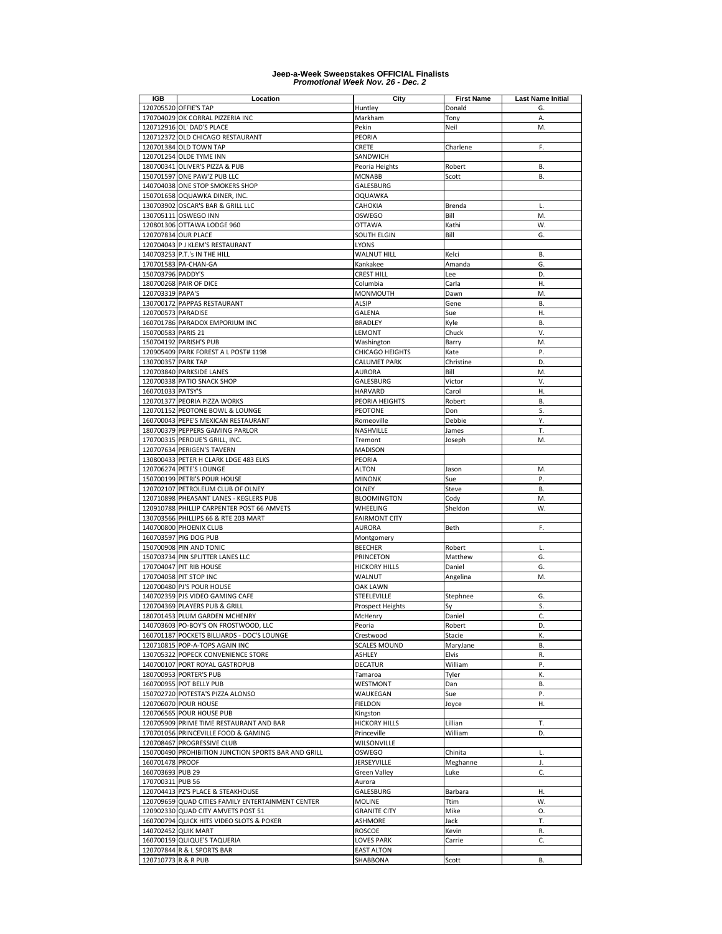| IGB                 | Location                                                        | City                    | <b>First Name</b> | Last Name Initial |
|---------------------|-----------------------------------------------------------------|-------------------------|-------------------|-------------------|
|                     | 120705520 OFFIE'S TAP                                           | Huntley                 | Donald            | G.                |
|                     | 170704029 OK CORRAL PIZZERIA INC                                | Markham                 | Tony              | Α.                |
|                     | 120712916 OL' DAD'S PLACE                                       | Pekin                   | Neil              | M.                |
|                     | 120712372 OLD CHICAGO RESTAURANT                                | PEORIA                  |                   |                   |
|                     | 120701384 OLD TOWN TAP                                          | CRETE                   | Charlene          | F.                |
|                     | 120701254 OLDE TYME INN                                         | SANDWICH                |                   |                   |
|                     | 180700341 OLIVER'S PIZZA & PUB                                  | Peoria Heights          | Robert            | В.                |
|                     | 150701597 ONE PAW'Z PUB LLC                                     | <b>MCNABB</b>           | Scott             | В.                |
|                     | 140704038 ONE STOP SMOKERS SHOP                                 | GALESBURG               |                   |                   |
|                     | 150701658 OQUAWKA DINER, INC.                                   | <b>OQUAWKA</b>          |                   |                   |
|                     | 130703902 OSCAR'S BAR & GRILL LLC                               | CAHOKIA                 | Brenda            | L.                |
|                     | 130705111 OSWEGO INN                                            | OSWEGO                  | Bill              | M.                |
|                     | 120801306 OTTAWA LODGE 960<br>120707834 OUR PLACE               | <b>OTTAWA</b>           | Kathi<br>Bill     | W.                |
|                     |                                                                 | SOUTH ELGIN<br>LYONS    |                   | G.                |
|                     | 120704043 P J KLEM'S RESTAURANT<br>140703253 P.T.'s IN THE HILL | <b>WALNUT HILL</b>      | Kelci             | В.                |
|                     | 170701583 PA-CHAN-GA                                            | Kankakee                | Amanda            | G.                |
| 150703796 PADDY'S   |                                                                 | <b>CREST HILL</b>       | Lee               | D.                |
|                     | 180700268 PAIR OF DICE                                          | Columbia                | Carla             | Η.                |
| 120703319 PAPA'S    |                                                                 | MONMOUTH                | Dawn              | M.                |
|                     | 130700172 PAPPAS RESTAURANT                                     | <b>ALSIP</b>            | Gene              | В.                |
| 120700573 PARADISE  |                                                                 | GALENA                  | Sue               | Η.                |
|                     | 160701786 PARADOX EMPORIUM INC                                  | <b>BRADLEY</b>          | Kyle              | <b>B.</b>         |
| 150700583 PARIS 21  |                                                                 | LEMONT                  | Chuck             | V.                |
|                     | 150704192 PARISH'S PUB                                          | Washington              | Barry             | M.                |
|                     | 120905409 PARK FOREST A L POST# 1198                            | <b>CHICAGO HEIGHTS</b>  | Kate              | Ρ.                |
| 130700357 PARK TAP  |                                                                 | <b>CALUMET PARK</b>     | Christine         | D.                |
|                     | 120703840 PARKSIDE LANES                                        | <b>AURORA</b>           | Bill              | M.                |
|                     | 120700338 PATIO SNACK SHOP                                      | GALESBURG               | Victor            | V.                |
| 160701033 PATSY'S   |                                                                 | <b>HARVARD</b>          | Carol             | Η.                |
|                     | 120701377 PEORIA PIZZA WORKS                                    | PEORIA HEIGHTS          | Robert            | В.                |
|                     | 120701152 PEOTONE BOWL & LOUNGE                                 | <b>PEOTONE</b>          | Don               | S.                |
|                     | 160700043 PEPE'S MEXICAN RESTAURANT                             | Romeoville              | Debbie            | Υ.                |
|                     | 180700379 PEPPERS GAMING PARLOR                                 | NASHVILLE               | James             | T.                |
|                     | 170700315 PERDUE'S GRILL, INC.                                  | Tremont                 | Joseph            | M.                |
|                     | 120707634 PERIGEN'S TAVERN                                      | <b>MADISON</b>          |                   |                   |
|                     | 130800433 PETER H CLARK LDGE 483 ELKS                           | PEORIA                  |                   |                   |
|                     | 120706274 PETE'S LOUNGE                                         | ALTON                   | Jason             | M.                |
|                     | 150700199 PETRI'S POUR HOUSE                                    | <b>MINONK</b>           | Sue               | Ρ.                |
|                     | 120702107 PETROLEUM CLUB OF OLNEY                               | OLNEY                   | Steve             | В.                |
|                     | 120710898 PHEASANT LANES - KEGLERS PUB                          | <b>BLOOMINGTON</b>      | Cody              | M.                |
|                     | 120910788 PHILLIP CARPENTER POST 66 AMVETS                      | WHEELING                | Sheldon           | W.                |
|                     | 130703566 PHILLIPS 66 & RTE 203 MART                            | <b>FAIRMONT CITY</b>    |                   |                   |
|                     | 140700800 PHOENIX CLUB                                          | <b>AURORA</b>           | Beth              | F.                |
|                     | 160703597 PIG DOG PUB                                           | Montgomery              |                   |                   |
|                     | 150700908 PIN AND TONIC                                         | <b>BEECHER</b>          | Robert            | L.                |
|                     | 150703734 PIN SPLITTER LANES LLC                                | PRINCETON               | Matthew           | G.                |
|                     | 170704047 PIT RIB HOUSE                                         | <b>HICKORY HILLS</b>    | Daniel            | G.                |
|                     | 170704058 PIT STOP INC                                          | WALNUT                  | Angelina          | M.                |
|                     | 120700480 PJ'S POUR HOUSE                                       | OAK LAWN                |                   |                   |
|                     | 140702359 PJS VIDEO GAMING CAFE                                 | STEELEVILLE             | Stephnee          | G.                |
|                     | 120704369 PLAYERS PUB & GRILL                                   | <b>Prospect Heights</b> | Sy                | S.                |
|                     | 180701453 PLUM GARDEN MCHENRY                                   | McHenry                 | Daniel            | C.                |
|                     | 140703603 PO-BOY'S ON FROSTWOOD, LLC                            | Peoria                  | Robert            | D.                |
|                     | 160701187 POCKETS BILLIARDS - DOC'S LOUNGE                      | Crestwood               | Stacie            | К.                |
|                     | 120710815 POP-A-TOPS AGAIN INC                                  | <b>SCALES MOUND</b>     | MaryJane          | В.                |
|                     | 130705322 POPECK CONVENIENCE STORE                              | ASHLEY                  | Elvis             | R.                |
|                     | 140700107 PORT ROYAL GASTROPUB                                  | DECATUR                 | William           | P.                |
|                     | 180700953 PORTER'S PUB                                          | Tamaroa                 | Tyler             | К.                |
|                     | 160700955 POT BELLY PUB                                         | WESTMONT                | Dan               | В.                |
|                     | 150702720 POTESTA'S PIZZA ALONSO                                | WAUKEGAN                | Sue               | P.                |
|                     | 120706070 POUR HOUSE                                            | <b>FIELDON</b>          | Joyce             | Η.                |
|                     | 120706565 POUR HOUSE PUB                                        | Kingston                |                   |                   |
|                     | 120705909 PRIME TIME RESTAURANT AND BAR                         | <b>HICKORY HILLS</b>    | Lillian           | Т.                |
|                     | 170701056 PRINCEVILLE FOOD & GAMING                             | Princeville             | William           | D.                |
|                     | 120708467 PROGRESSIVE CLUB                                      | WILSONVILLE             |                   |                   |
|                     | 150700490 PROHIBITION JUNCTION SPORTS BAR AND GRILL             | OSWEGO                  | Chinita           | L.                |
| 160701478 PROOF     |                                                                 | JERSEYVILLE             | Meghanne          | J.                |
| 160703693 PUB 29    |                                                                 | <b>Green Valley</b>     | Luke              | C.                |
| 170700311 PUB 56    |                                                                 | Aurora                  |                   |                   |
|                     | 120704413 PZ'S PLACE & STEAKHOUSE                               | GALESBURG               | Barbara           | Η.                |
|                     | 120709659 QUAD CITIES FAMILY ENTERTAINMENT CENTER               | <b>MOLINE</b>           | Ttim              | W.                |
|                     | 120902330 QUAD CITY AMVETS POST 51                              | <b>GRANITE CITY</b>     | Mike              | О.                |
|                     | 160700794 QUICK HITS VIDEO SLOTS & POKER                        | <b>ASHMORE</b>          | Jack              | T.                |
|                     | 140702452 QUIK MART                                             | <b>ROSCOE</b>           | Kevin             | R.                |
|                     | 160700159 QUIQUE'S TAQUERIA                                     | <b>LOVES PARK</b>       | Carrie            | C.                |
|                     | 120707844 R & L SPORTS BAR                                      | <b>EAST ALTON</b>       |                   |                   |
| 120710773 R & R PUB |                                                                 | SHABBONA                | Scott             | В.                |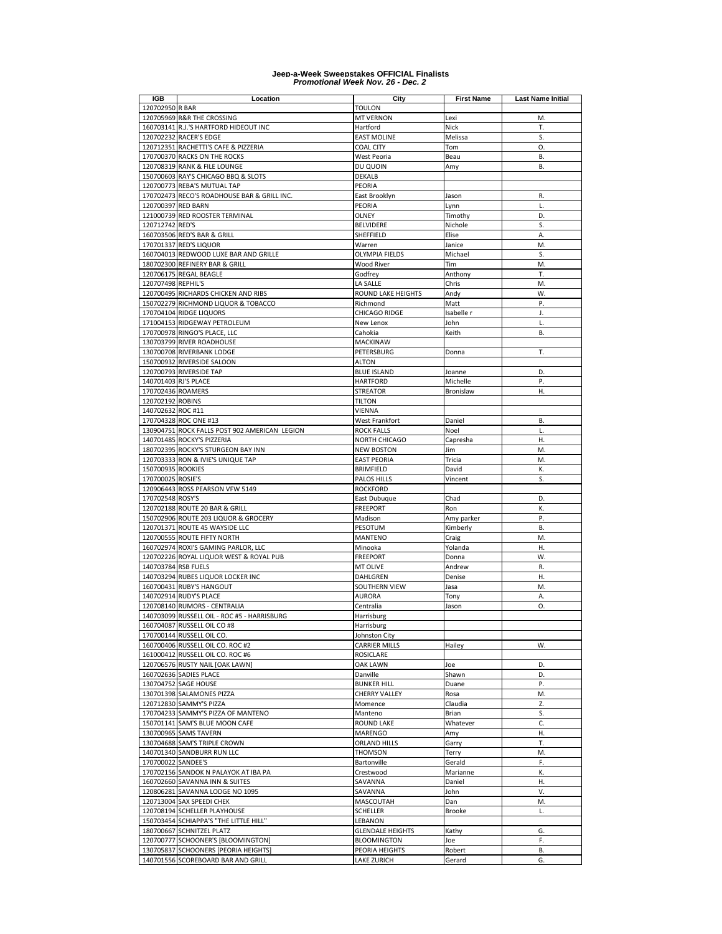| <b>IGB</b>           | Location                                                                    | City                                  | <b>First Name</b>  | <b>Last Name Initial</b> |
|----------------------|-----------------------------------------------------------------------------|---------------------------------------|--------------------|--------------------------|
| 120702950 R BAR      |                                                                             | <b>TOULON</b>                         |                    |                          |
|                      | 120705969 R&R THE CROSSING                                                  | <b>MT VERNON</b>                      | Lexi               | M.                       |
|                      | 160703141 R.J.'S HARTFORD HIDEOUT INC                                       | Hartford                              | Nick               | Т.                       |
|                      | 120702232 RACER'S EDGE                                                      | <b>EAST MOLINE</b>                    | Melissa            | S.                       |
|                      | 120712351 RACHETTI'S CAFE & PIZZERIA<br>170700370 RACKS ON THE ROCKS        | <b>COAL CITY</b>                      | Tom                | О.                       |
|                      | 120708319 RANK & FILE LOUNGE                                                | West Peoria<br>DU QUOIN               | Beau               | В.<br>В.                 |
|                      | 150700603 RAY'S CHICAGO BBQ & SLOTS                                         | DEKALB                                | Amy                |                          |
|                      | 120700773 REBA'S MUTUAL TAP                                                 | PEORIA                                |                    |                          |
|                      | 170702473 RECO'S ROADHOUSE BAR & GRILL INC.                                 | East Brooklyn                         | Jason              | R.                       |
| 120700397 RED BARN   |                                                                             | PEORIA                                | Lynn               | L.                       |
|                      | 121000739 RED ROOSTER TERMINAL                                              | OLNEY                                 | Timothy            | D.                       |
| 120712742 RED'S      |                                                                             | BELVIDERE                             | Nichole            | S.                       |
|                      | 160703506 RED'S BAR & GRILL                                                 | SHEFFIELD                             | Elise              | Α.                       |
|                      | 170701337 RED'S LIQUOR                                                      | Warren                                | Janice             | M.                       |
|                      | 160704013 REDWOOD LUXE BAR AND GRILLE                                       | <b>OLYMPIA FIELDS</b>                 | Michael            | S.                       |
|                      | 180702300 REFINERY BAR & GRILL                                              | <b>Wood River</b>                     | Tim                | M.                       |
|                      | 120706175 REGAL BEAGLE                                                      | Godfrey                               | Anthony            | T.                       |
| 120707498 REPHIL'S   |                                                                             | LA SALLE                              | Chris              | M.                       |
|                      | 120700495 RICHARDS CHICKEN AND RIBS                                         | ROUND LAKE HEIGHTS                    | Andy               | W.                       |
|                      | 150702279 RICHMOND LIQUOR & TOBACCO                                         | Richmond                              | Matt               | P.                       |
|                      | 170704104 RIDGE LIQUORS                                                     | CHICAGO RIDGE                         | Isabelle r         | J.                       |
|                      | 171004153 RIDGEWAY PETROLEUM                                                | New Lenox                             | John               | L.                       |
|                      | 170700978 RINGO'S PLACE, LLC                                                | Cahokia                               | Keith              | В.                       |
|                      | 130703799 RIVER ROADHOUSE                                                   | MACKINAW                              |                    |                          |
|                      | 130700708 RIVERBANK LODGE                                                   | PETERSBURG                            | Donna              | Т.                       |
|                      | 150700932 RIVERSIDE SALOON                                                  | ALTON                                 |                    |                          |
| 140701403 RJ'S PLACE | 120700793 RIVERSIDE TAP                                                     | <b>BLUE ISLAND</b><br><b>HARTFORD</b> | Joanne<br>Michelle | D.<br>Ρ.                 |
| 170702436 ROAMERS    |                                                                             | <b>STREATOR</b>                       | Bronislaw          | Η.                       |
| 120702192 ROBINS     |                                                                             | <b>TILTON</b>                         |                    |                          |
| 140702632 ROC #11    |                                                                             | VIENNA                                |                    |                          |
|                      | 170704328 ROC ONE #13                                                       | West Frankfort                        | Daniel             | В.                       |
|                      | 130904751 ROCK FALLS POST 902 AMERICAN LEGION                               | <b>ROCK FALLS</b>                     | Noel               | L.                       |
|                      | 140701485 ROCKY'S PIZZERIA                                                  | NORTH CHICAGO                         | Capresha           | Η.                       |
|                      | 180702395 ROCKY'S STURGEON BAY INN                                          | <b>NEW BOSTON</b>                     | Jim                | M.                       |
|                      | 120703333 RON & IVIE'S UNIQUE TAP                                           | <b>EAST PEORIA</b>                    | Tricia             | M.                       |
| 150700935 ROOKIES    |                                                                             | <b>BRIMFIELD</b>                      | David              | К.                       |
| 170700025 ROSIE'S    |                                                                             | PALOS HILLS                           | Vincent            | S.                       |
|                      | 120906443 ROSS PEARSON VFW 5149                                             | <b>ROCKFORD</b>                       |                    |                          |
| 170702548 ROSY'S     |                                                                             | East Dubuque                          | Chad               | D.                       |
|                      | 120702188 ROUTE 20 BAR & GRILL                                              | <b>FREEPORT</b>                       | Ron                | К.                       |
|                      | 150702906 ROUTE 203 LIQUOR & GROCERY                                        | Madison                               | Amy parker         | P.                       |
|                      | 120701371 ROUTE 45 WAYSIDE LLC                                              | PESOTUM                               | Kimberly           | В.                       |
|                      | 120700555 ROUTE FIFTY NORTH                                                 | MANTENO                               | Craig              | M.                       |
|                      | 160702974 ROXI'S GAMING PARLOR, LLC                                         | Minooka                               | Yolanda            | Н.                       |
|                      | 120702226 ROYAL LIQUOR WEST & ROYAL PUB                                     | <b>FREEPORT</b>                       | Donna              | W.                       |
| 140703784 RSB FUELS  |                                                                             | MT OLIVE                              | Andrew             | R.                       |
|                      | 140703294 RUBES LIQUOR LOCKER INC                                           | DAHLGREN                              | Denise             | Η.                       |
|                      | 160700431 RUBY'S HANGOUT                                                    | SOUTHERN VIEW                         | Jasa               | M.                       |
|                      | 140702914 RUDY'S PLACE                                                      | <b>AURORA</b>                         | Tony               | А.                       |
|                      | 120708140 RUMORS - CENTRALIA<br>140703099 RUSSELL OIL - ROC #5 - HARRISBURG | Centralia                             | Jason              | О.                       |
|                      | 160704087 RUSSELL OIL CO #8                                                 | Harrisburg                            |                    |                          |
|                      | 170700144 RUSSELL OIL CO.                                                   | Harrisburg<br>Johnston City           |                    |                          |
|                      | 160700406 RUSSELL OIL CO. ROC #2                                            | CARRIER MILLS                         | Hailey             | W.                       |
|                      | 161000412 RUSSELL OIL CO. ROC #6                                            | <b>ROSICLARE</b>                      |                    |                          |
|                      | 120706576 RUSTY NAIL [OAK LAWN]                                             | OAK LAWN                              | Joe                | D.                       |
|                      | 160702636 SADIES PLACE                                                      | Danville                              | Shawn              | D.                       |
|                      | 130704752 SAGE HOUSE                                                        | <b>BUNKER HILL</b>                    | Duane              | Ρ.                       |
|                      | 130701398 SALAMONES PIZZA                                                   | CHERRY VALLEY                         | Rosa               | M.                       |
|                      | 120712830 SAMMY'S PIZZA                                                     | Momence                               | Claudia            | Z.                       |
|                      | 170704233 SAMMY'S PIZZA OF MANTENO                                          | Manteno                               | Brian              | S.                       |
|                      | 150701141 SAM'S BLUE MOON CAFE                                              | <b>ROUND LAKE</b>                     | Whatever           | C.                       |
|                      | 130700965 SAMS TAVERN                                                       | <b>MARENGO</b>                        | Amy                | Η.                       |
|                      | 130704688 SAM'S TRIPLE CROWN                                                | ORLAND HILLS                          | Garry              | T.                       |
|                      | 140701340 SANDBURR RUN LLC                                                  | <b>THOMSON</b>                        | Terry              | M.                       |
| 170700022 SANDEE'S   |                                                                             | Bartonville                           | Gerald             | F.                       |
|                      | 170702156 SANDOK N PALAYOK AT IBA PA                                        | Crestwood                             | Marianne           | К.                       |
|                      | 160702660 SAVANNA INN & SUITES                                              | SAVANNA                               | Daniel             | н.                       |
|                      | 120806281 SAVANNA LODGE NO 1095                                             | SAVANNA                               | John               | ٧.                       |
|                      | 120713004 SAX SPEEDI CHEK                                                   | MASCOUTAH                             | Dan                | M.                       |
|                      | 120708194 SCHELLER PLAYHOUSE                                                | SCHELLER                              | Brooke             | L.                       |
|                      | 150703454 SCHIAPPA'S "THE LITTLE HILL"                                      | LEBANON                               |                    |                          |
|                      | 180700667 SCHNITZEL PLATZ                                                   | <b>GLENDALE HEIGHTS</b>               | Kathy              | G.                       |
|                      | 120700777 SCHOONER'S [BLOOMINGTON]<br>130705837 SCHOONERS [PEORIA HEIGHTS]  | <b>BLOOMINGTON</b><br>PEORIA HEIGHTS  | Joe<br>Robert      | F.<br>В.                 |
|                      | 140701556 SCOREBOARD BAR AND GRILL                                          | LAKE ZURICH                           | Gerard             | G.                       |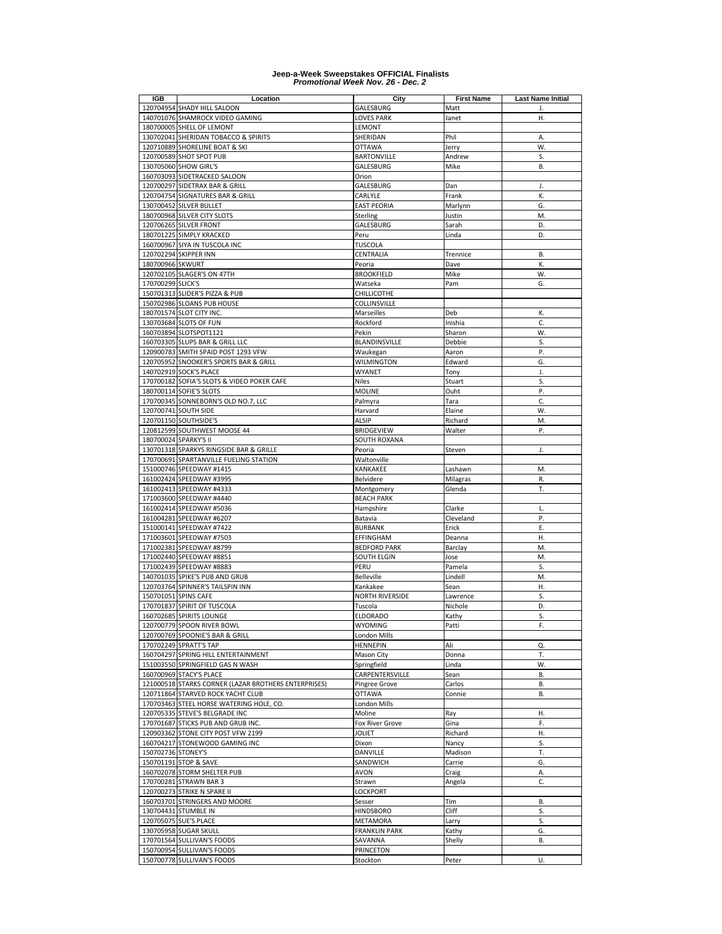| IGB                | Location                                                      | City                                | <b>First Name</b> | Last Name Initial |
|--------------------|---------------------------------------------------------------|-------------------------------------|-------------------|-------------------|
|                    | 120704954 SHADY HILL SALOON                                   | GALESBURG                           | Matt              | J.                |
|                    | 140701076 SHAMROCK VIDEO GAMING                               | <b>LOVES PARK</b>                   | Janet             | Η.                |
|                    | 180700005 SHELL OF LEMONT                                     | LEMONT                              |                   |                   |
|                    | 130702041 SHERIDAN TOBACCO & SPIRITS                          | SHERIDAN                            | Phil              | А.<br>W.          |
|                    | 120710889 SHORELINE BOAT & SKI<br>120700589 SHOT SPOT PUB     | <b>OTTAWA</b><br><b>BARTONVILLE</b> | Jerry<br>Andrew   | S.                |
|                    | 130705060 SHOW GIRL'S                                         | GALESBURG                           | Mike              | В.                |
|                    | 160703093 SIDETRACKED SALOON                                  | Orion                               |                   |                   |
|                    | 120700297 SIDETRAX BAR & GRILL                                | GALESBURG                           | Dan               | J.                |
|                    | 120704754 SIGNATURES BAR & GRILL                              | CARLYLE                             | Frank             | К.                |
|                    | 130700452 SILVER BULLET                                       | <b>EAST PEORIA</b>                  | Marlynn           | G.                |
|                    | 180700968 SILVER CITY SLOTS                                   | Sterling                            | Justin            | M.                |
|                    | 120706265 SILVER FRONT                                        | GALESBURG                           | Sarah             | D.                |
|                    | 180701225 SIMPLY KRACKED                                      | Peru                                | Linda             | D.                |
|                    | 160700967 SIYA IN TUSCOLA INC                                 | <b>TUSCOLA</b>                      |                   |                   |
|                    | 120702294 SKIPPER INN                                         | CENTRALIA                           | Trennice          | В.                |
| 180700966 SKWURT   |                                                               | Peoria                              | Dave              | К.                |
|                    | 120702105 SLAGER'S ON 47TH                                    | <b>BROOKFIELD</b>                   | Mike              | W.                |
| 170700299 SLICK'S  |                                                               | Watseka                             | Pam               | G.                |
|                    | 150701313 SLIDER'S PIZZA & PUB                                | CHILLICOTHE                         |                   |                   |
|                    | 150702986 SLOANS PUB HOUSE                                    | COLLINSVILLE                        |                   |                   |
|                    | 180701574 SLOT CITY INC.                                      | Marseilles                          | Deb               | К.                |
|                    | 130703684 SLOTS OF FUN                                        | Rockford                            | Inishia           | C.                |
|                    | 160703894 SLOTSPOT1121                                        | Pekin                               | Sharon            | W.                |
|                    | 160703305 SLUPS BAR & GRILL LLC                               | BLANDINSVILLE                       | Debbie            | S.                |
|                    | 120900783 SMITH SPAID POST 1293 VFW                           | Waukegan                            | Aaron             | Ρ.                |
|                    | 120705952 SNOOKER'S SPORTS BAR & GRILL                        | <b>WILMINGTON</b>                   | Edward            | G.                |
|                    | 140702919 SOCK'S PLACE                                        | WYANET                              | Tony              | J.                |
|                    | 170700182 SOFIA'S SLOTS & VIDEO POKER CAFE                    | <b>Niles</b>                        | Stuart            | S.<br>P.          |
|                    | 180700114 SOFIE'S SLOTS                                       | <b>MOLINE</b>                       | Ouht              | C.                |
|                    | 170700345 SONNEBORN'S OLD NO.7, LLC                           | Palmyra                             | Tara              | W.                |
|                    | 120700741 SOUTH SIDE<br>120701150 SOUTHSIDE'S                 | Harvard<br><b>ALSIP</b>             | Elaine            | M.                |
|                    | 120812599 SOUTHWEST MOOSE 44                                  | <b>BRIDGEVIEW</b>                   | Richard<br>Walter | Ρ.                |
|                    | 180700024 SPARKY'S II                                         | SOUTH ROXANA                        |                   |                   |
|                    | 130701318 SPARKYS RINGSIDE BAR & GRILLE                       | Peoria                              | Steven            | J.                |
|                    | 170700691 SPARTANVILLE FUELING STATION                        | Waltonville                         |                   |                   |
|                    | 151000746 SPEEDWAY #1415                                      | KANKAKEE                            | Lashawn           | M.                |
|                    | 161002424 SPEEDWAY #3995                                      | Belvidere                           | Milagras          | R.                |
|                    | 161002413 SPEEDWAY #4333                                      | Montgomery                          | Glenda            | T.                |
|                    | 171003600 SPEEDWAY #4440                                      | <b>BEACH PARK</b>                   |                   |                   |
|                    | 161002414 SPEEDWAY #5036                                      | Hampshire                           | Clarke            | L.                |
|                    | 161004281 SPEEDWAY #6207                                      | Batavia                             | Cleveland         | Ρ.                |
|                    | 151000141 SPEEDWAY #7422                                      | <b>BURBANK</b>                      | Erick             | Ε.                |
|                    | 171003601 SPEEDWAY #7503                                      | EFFINGHAM                           | Deanna            | Η.                |
|                    | 171002381 SPEEDWAY #8799                                      | <b>BEDFORD PARK</b>                 | Barclay           | M.                |
|                    | 171002440 SPEEDWAY #8851                                      | SOUTH ELGIN                         | Jose              | M.                |
|                    | 171002439 SPEEDWAY #8883                                      | PERU                                | Pamela            | S.                |
|                    | 140701035 SPIKE'S PUB AND GRUB                                | Belleville                          | Lindell           | M.                |
|                    | 120703764 SPINNER'S TAILSPIN INN                              | Kankakee                            | Sean              | Η.                |
|                    | 150701051 SPINS CAFE                                          | <b>NORTH RIVERSIDE</b>              | Lawrence          | S.                |
|                    | 170701837 SPIRIT OF TUSCOLA                                   | Tuscola                             | Nichole           | D.                |
|                    | 160702685 SPIRITS LOUNGE                                      | <b>ELDORADO</b>                     | Kathy             | S.                |
|                    | 120700779 SPOON RIVER BOWL<br>120700769 SPOONIE'S BAR & GRILL | WYOMING                             | Patti             | F.                |
|                    | 170702249 SPRATT'S TAP                                        | London Mills<br><b>HENNEPIN</b>     | Ali               | Q.                |
|                    | 160704297 SPRING HILL ENTERTAINMENT                           | Mason City                          | Donna             | Т.                |
|                    | 151003550 SPRINGFIELD GAS N WASH                              | Springfield                         | Linda             | W.                |
|                    | 160700969 STACY'S PLACE                                       | CARPENTERSVILLE                     | Sean              | В.                |
|                    | 121000518 STARKS CORNER (LAZAR BROTHERS ENTERPRISES)          | Pingree Grove                       | Carlos            | В.                |
|                    | 120711864 STARVED ROCK YACHT CLUB                             | <b>OTTAWA</b>                       | Connie            | В.                |
|                    | 170703463 STEEL HORSE WATERING HOLE, CO.                      | London Mills                        |                   |                   |
|                    | 120705335 STEVE'S BELGRADE INC                                | Moline                              | Ray               | Η.                |
|                    | 170701687 STICKS PUB AND GRUB INC.                            | Fox River Grove                     | Gina              | F.                |
|                    | 120903362 STONE CITY POST VFW 2199                            | <b>JOLIET</b>                       | Richard           | Η.                |
|                    | 160704217 STONEWOOD GAMING INC                                | Dixon                               | Nancy             | S.                |
| 150702736 STONEY'S |                                                               | DANVILLE                            | Madison           | Т.                |
|                    | 150701191 STOP & SAVE                                         | SANDWICH                            | Carrie            | G.                |
|                    | 160702078 STORM SHELTER PUB                                   | <b>AVON</b>                         | Craig             | А.                |
|                    | 170700281 STRAWN BAR 3                                        | Strawn                              | Angela            | C.                |
|                    | 120700273 STRIKE N SPARE II                                   | LOCKPORT                            |                   |                   |
|                    | 160703701 STRINGERS AND MOORE                                 | Sesser                              | Tim               | В.                |
|                    | 130704431 STUMBLE IN                                          | <b>HINDSBORO</b>                    | Cliff             | S.                |
|                    | 120705075 SUE'S PLACE                                         | <b>METAMORA</b>                     | Larry             | S.                |
|                    | 130705958 SUGAR SKULL                                         | <b>FRANKLIN PARK</b>                | Kathy             | G.                |
|                    | 170701564 SULLIVAN'S FOODS<br>150700954 SULLIVAN'S FOODS      | SAVANNA                             | Shelly            | В.                |
|                    | 150700778 SULLIVAN'S FOODS                                    | PRINCETON<br>Stockton               | Peter             | U.                |
|                    |                                                               |                                     |                   |                   |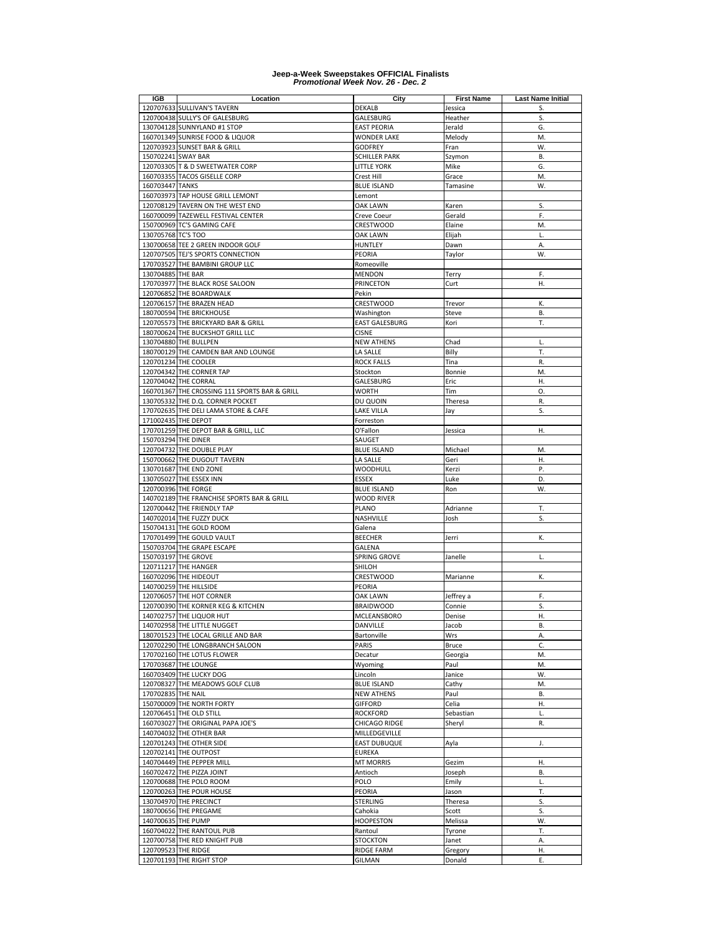| IGB                 | Location                                            | City                                        | <b>First Name</b> | Last Name Initial |
|---------------------|-----------------------------------------------------|---------------------------------------------|-------------------|-------------------|
|                     | 120707633 SULLIVAN'S TAVERN                         | DEKALB                                      | Jessica           | S.                |
|                     | 120700438 SULLY'S OF GALESBURG                      | GALESBURG                                   | Heather           | S.                |
|                     | 130704128 SUNNYLAND #1 STOP                         | <b>EAST PEORIA</b>                          | Jerald            | G.                |
|                     | 160701349 SUNRISE FOOD & LIQUOR                     | <b>WONDER LAKE</b>                          | Melody            | M.<br>W.          |
| 150702241 SWAY BAR  | 120703923 SUNSET BAR & GRILL                        | <b>GODFREY</b><br><b>SCHILLER PARK</b>      | Fran              | В.                |
|                     | 120703305 T & D SWEETWATER CORP                     | <b>LITTLE YORK</b>                          | Szymon<br>Mike    | G.                |
|                     | 160703355 TACOS GISELLE CORP                        | Crest Hill                                  | Grace             | M.                |
| 160703447 TANKS     |                                                     | <b>BLUE ISLAND</b>                          | Tamasine          | W.                |
|                     | 160703973 TAP HOUSE GRILL LEMONT                    | Lemont                                      |                   |                   |
|                     | 120708129 TAVERN ON THE WEST END                    | OAK LAWN                                    | Karen             | S.                |
|                     | 160700099 TAZEWELL FESTIVAL CENTER                  | Creve Coeur                                 | Gerald            | F.                |
|                     | 150700969 TC'S GAMING CAFE                          | CRESTWOOD                                   | Elaine            | M.                |
| 130705768 TC'S TOO  |                                                     | OAK LAWN                                    | Elijah            | L.                |
|                     | 130700658 TEE 2 GREEN INDOOR GOLF                   | HUNTLEY                                     | Dawn              | Α.                |
|                     | 120707505 TEJ'S SPORTS CONNECTION                   | PEORIA                                      | Taylor            | W.                |
|                     | 170703527 THE BAMBINI GROUP LLC                     | Romeoville                                  |                   |                   |
| 130704885 THE BAR   |                                                     | MENDON                                      | Terry             | F.                |
|                     | 170703977 THE BLACK ROSE SALOON                     | PRINCETON                                   | Curt              | Η.                |
|                     | 120706852 THE BOARDWALK                             | Pekin                                       |                   |                   |
|                     | 120706157 THE BRAZEN HEAD                           | CRESTWOOD                                   | Trevor            | К.                |
|                     | 180700594 THE BRICKHOUSE                            | Washington                                  | Steve             | В.                |
|                     | 120705573 THE BRICKYARD BAR & GRILL                 | <b>EAST GALESBURG</b>                       | Kori              | T.                |
|                     | 180700624 THE BUCKSHOT GRILL LLC                    | <b>CISNE</b>                                |                   |                   |
|                     | 130704880 THE BULLPEN                               | <b>NEW ATHENS</b>                           | Chad              | L.                |
|                     | 180700129 THE CAMDEN BAR AND LOUNGE                 | LA SALLE                                    | Billy             | T.<br>R.          |
|                     | 120701234 THE COOLER<br>120704342 THE CORNER TAP    | <b>ROCK FALLS</b><br>Stockton               | Tina<br>Bonnie    | M.                |
|                     | 120704042 THE CORRAL                                | <b>GALESBURG</b>                            | Eric              | Η.                |
|                     | 160701367 THE CROSSING 111 SPORTS BAR & GRILL       | WORTH                                       | Tim               | 0.                |
|                     | 130705332 THE D.Q. CORNER POCKET                    | DU QUOIN                                    | Theresa           | R.                |
|                     | 170702635 THE DELI LAMA STORE & CAFE                | LAKE VILLA                                  | Jay               | S.                |
|                     | 171002435 THE DEPOT                                 | Forreston                                   |                   |                   |
|                     | 170701259 THE DEPOT BAR & GRILL, LLC                | O'Fallon                                    | Jessica           | Η.                |
| 150703294 THE DINER |                                                     | SAUGET                                      |                   |                   |
|                     | 120704732 THE DOUBLE PLAY                           | <b>BLUE ISLAND</b>                          | Michael           | M.                |
|                     | 150700662 THE DUGOUT TAVERN                         | LA SALLE                                    | Geri              | Η.                |
|                     | 130701687 THE END ZONE                              | WOODHULL                                    | Kerzi             | Ρ.                |
|                     | 130705027 THE ESSEX INN                             | <b>ESSEX</b>                                | Luke              | D.                |
|                     | 120700396 THE FORGE                                 | <b>BLUE ISLAND</b>                          | Ron               | W.                |
|                     | 140702189 THE FRANCHISE SPORTS BAR & GRILL          | WOOD RIVER                                  |                   |                   |
|                     | 120700442 THE FRIENDLY TAP                          | PLANO                                       | Adrianne          | т.                |
|                     | 140702014 THE FUZZY DUCK                            | NASHVILLE                                   | Josh              | S.                |
|                     | 150704131 THE GOLD ROOM                             | Galena                                      |                   |                   |
|                     | 170701499 THE GOULD VAULT                           | <b>BEECHER</b>                              | Jerri             | К.                |
|                     | 150703704 THE GRAPE ESCAPE                          | GALENA                                      |                   |                   |
|                     | 150703197 THE GROVE<br>120711217 THE HANGER         | SPRING GROVE                                | Janelle           | L.                |
|                     | 160702096 THE HIDEOUT                               | SHILOH<br>CRESTWOOD                         | Marianne          | К.                |
|                     | 140700259 THE HILLSIDE                              | PEORIA                                      |                   |                   |
|                     | 120706057 THE HOT CORNER                            | OAK LAWN                                    | Jeffrey a         | F.                |
|                     | 120700390 THE KORNER KEG & KITCHEN                  | <b>BRAIDWOOD</b>                            | Connie            | S.                |
|                     | 140702757 THE LIQUOR HUT                            | <b>MCLEANSBORO</b>                          | Denise            | Η.                |
|                     | 140702958 THE LITTLE NUGGET                         | DANVILLE                                    | Jacob             | В.                |
|                     | 180701523 THE LOCAL GRILLE AND BAR                  | Bartonville                                 | Wrs               | Α.                |
|                     | 120702290 THE LONGBRANCH SALOON                     | PARIS                                       | Bruce             | C.                |
|                     | 170702160 THE LOTUS FLOWER                          | Decatur                                     | Georgia           | M.                |
|                     | 170703687 THE LOUNGE                                | Wyoming                                     | Paul              | M.                |
|                     | 160703409 THE LUCKY DOG                             | Lincoln                                     | Janice            | W.                |
|                     | 120708327 THE MEADOWS GOLF CLUB                     | <b>BLUE ISLAND</b>                          | Cathy             | M.                |
| 170702835 THE NAIL  |                                                     | <b>NEW ATHENS</b>                           | Paul              | В.                |
|                     | 150700009 THE NORTH FORTY                           | <b>GIFFORD</b>                              | Celia             | Η.                |
|                     | 120706451 THE OLD STILL                             | <b>ROCKFORD</b>                             | Sebastian         | L.                |
|                     | 160703027 THE ORIGINAL PAPA JOE'S                   | CHICAGO RIDGE                               | Sheryl            | R.                |
|                     | 140704032 THE OTHER BAR<br>120701243 THE OTHER SIDE | <b>MILLEDGEVILLE</b><br><b>EAST DUBUQUE</b> |                   | J.                |
|                     | 120702141 THE OUTPOST                               | <b>EUREKA</b>                               | Ayla              |                   |
|                     | 140704449 THE PEPPER MILL                           | <b>MT MORRIS</b>                            | Gezim             | Η.                |
|                     | 160702472 THE PIZZA JOINT                           | Antioch                                     | Joseph            | В.                |
|                     | 120700688 THE POLO ROOM                             | POLO                                        | Emily             | L.                |
|                     | 120700263 THE POUR HOUSE                            | PEORIA                                      | Jason             | Т.                |
|                     | 130704970 THE PRECINCT                              | STERLING                                    | Theresa           | S.                |
|                     | 180700656 THE PREGAME                               | Cahokia                                     | Scott             | S.                |
| 140700635 THE PUMP  |                                                     | <b>HOOPESTON</b>                            | Melissa           | W.                |
|                     | 160704022 THE RANTOUL PUB                           | Rantoul                                     | Tyrone            | Т.                |
|                     | 120700758 THE RED KNIGHT PUB                        | <b>STOCKTON</b>                             | Janet             | Α.                |
| 120709523 THE RIDGE |                                                     | <b>RIDGE FARM</b>                           | Gregory           | Η.                |
|                     | 120701193 THE RIGHT STOP                            | GILMAN                                      | Donald            | Ε.                |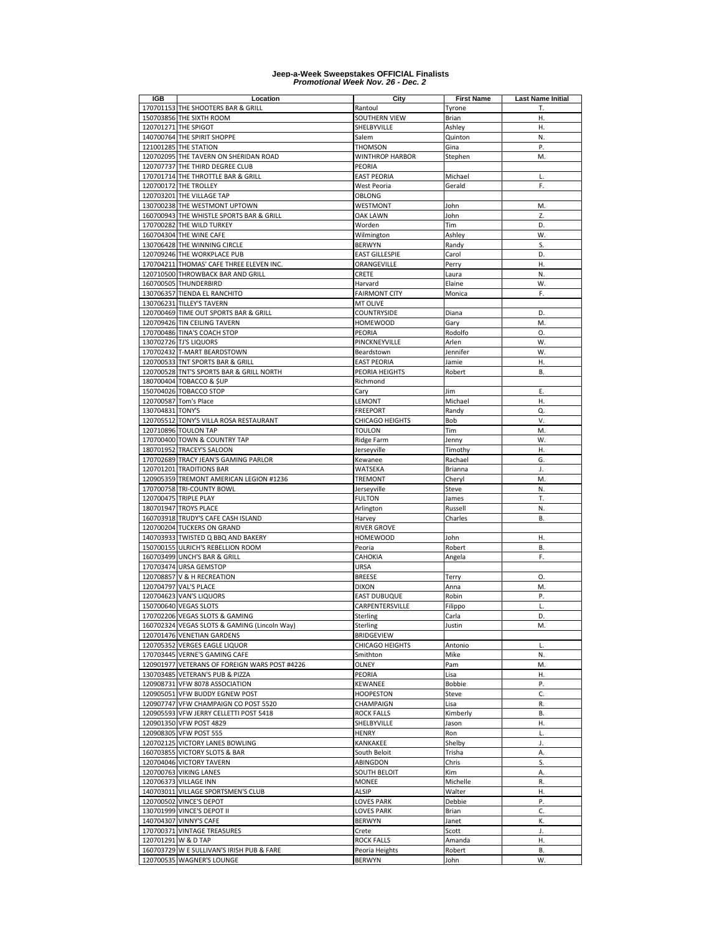| IGB              | Location                                                                   | City                                | <b>First Name</b> | <b>Last Name Initial</b> |
|------------------|----------------------------------------------------------------------------|-------------------------------------|-------------------|--------------------------|
|                  | 170701153 THE SHOOTERS BAR & GRILL                                         | Rantoul                             | Tyrone            | Т.                       |
|                  | 150703856 THE SIXTH ROOM                                                   | SOUTHERN VIEW                       | Brian             | Η.                       |
|                  | 120701271 THE SPIGOT                                                       | SHELBYVILLE                         | Ashley            | Η.                       |
|                  | 140700764 THE SPIRIT SHOPPE                                                | Salem                               | Quinton           | N.<br>P.                 |
|                  | 121001285 THE STATION<br>120702095 THE TAVERN ON SHERIDAN ROAD             | <b>THOMSON</b><br>WINTHROP HARBOR   | Gina<br>Stephen   | M.                       |
|                  | 120707737 THE THIRD DEGREE CLUB                                            | PEORIA                              |                   |                          |
|                  | 170701714 THE THROTTLE BAR & GRILL                                         | <b>EAST PEORIA</b>                  | Michael           | L.                       |
|                  | 120700172 THE TROLLEY                                                      | West Peoria                         | Gerald            | F.                       |
|                  | 120703201 THE VILLAGE TAP                                                  | OBLONG                              |                   |                          |
|                  | 130700238 THE WESTMONT UPTOWN                                              | WESTMONT                            | John              | M.                       |
|                  | 160700943 THE WHISTLE SPORTS BAR & GRILL                                   | OAK LAWN                            | John              | Z.                       |
|                  | 170700282 THE WILD TURKEY                                                  | Worden                              | Tim               | D.                       |
|                  | 160704304 THE WINE CAFE                                                    | Wilmington                          | Ashley            | W.                       |
|                  | 130706428 THE WINNING CIRCLE                                               | <b>BERWYN</b>                       | Randy             | S.                       |
|                  | 120709246 THE WORKPLACE PUB                                                | <b>EAST GILLESPIE</b>               | Carol             | D.                       |
|                  | 170704211 THOMAS' CAFE THREE ELEVEN INC.                                   | ORANGEVILLE                         | Perry             | Н.                       |
|                  | 120710500 THROWBACK BAR AND GRILL                                          | CRETE                               | Laura             | N.                       |
|                  | 160700505 THUNDERBIRD                                                      | Harvard                             | Elaine            | W.                       |
|                  | 130706357 TIENDA EL RANCHITO                                               | <b>FAIRMONT CITY</b>                | Monica            | F.                       |
|                  | 130706231 TILLEY'S TAVERN                                                  | MT OLIVE                            |                   |                          |
|                  | 120700469 TIME OUT SPORTS BAR & GRILL                                      | COUNTRYSIDE                         | Diana             | D.                       |
|                  | 120709426 TIN CEILING TAVERN                                               | <b>HOMEWOOD</b>                     | Gary              | M.                       |
|                  | 170700486 TINA'S COACH STOP                                                | PEORIA                              | Rodolfo           | O.                       |
|                  | 130702726 TJ'S LIQUORS                                                     | PINCKNEYVILLE                       | Arlen             | W.                       |
|                  | 170702432 T-MART BEARDSTOWN                                                | Beardstown                          | Jennifer          | W.                       |
|                  | 120700533 TNT SPORTS BAR & GRILL                                           | <b>EAST PEORIA</b>                  | Jamie             | Η.                       |
|                  | 120700528 TNT'S SPORTS BAR & GRILL NORTH                                   | PEORIA HEIGHTS                      | Robert            | В.                       |
|                  | 180700404 TOBACCO & \$UP                                                   | Richmond                            |                   |                          |
|                  | 150704026 TOBACCO STOP                                                     | Cary<br>LEMONT                      | Jim               | Ε.<br>H.                 |
| 130704831 TONY'S | 120700587 Tom's Place                                                      | <b>FREEPORT</b>                     | Michael           | Q.                       |
|                  | 120705512 TONY'S VILLA ROSA RESTAURANT                                     | CHICAGO HEIGHTS                     | Randy<br>Bob      | ۷.                       |
|                  | 120710896 TOULON TAP                                                       | <b>TOULON</b>                       | Tim               | M.                       |
|                  | 170700400 TOWN & COUNTRY TAP                                               | Ridge Farm                          | Jenny             | W.                       |
|                  | 180701952 TRACEY'S SALOON                                                  | Jerseyville                         | Timothy           | н.                       |
|                  | 170702689 TRACY JEAN'S GAMING PARLOR                                       | Kewanee                             | Rachael           | G.                       |
|                  | 120701201 TRADITIONS BAR                                                   | WATSEKA                             | Brianna           | J.                       |
|                  | 120905359 TREMONT AMERICAN LEGION #1236                                    | <b>TREMONT</b>                      | Cheryl            | M.                       |
|                  | 170700758 TRI-COUNTY BOWL                                                  | Jerseyville                         | Steve             | N.                       |
|                  | 120700475 TRIPLE PLAY                                                      | <b>FULTON</b>                       | James             | Т.                       |
|                  | 180701947 TROYS PLACE                                                      | Arlington                           | Russell           | N.                       |
|                  | 160703918 TRUDY'S CAFE CASH ISLAND                                         | Harvey                              | Charles           | В.                       |
|                  | 120700204 TUCKERS ON GRAND                                                 | <b>RIVER GROVE</b>                  |                   |                          |
|                  | 140703933 TWISTED Q BBQ AND BAKERY                                         | <b>HOMEWOOD</b>                     | John              | Η.                       |
|                  | 150700155 ULRICH'S REBELLION ROOM                                          | Peoria                              | Robert            | В.                       |
|                  | 160703499 UNCH'S BAR & GRILL                                               | CAHOKIA                             | Angela            | F.                       |
|                  | 170703474 URSA GEMSTOP                                                     | URSA                                |                   |                          |
|                  | 120708857 V & H RECREATION                                                 | <b>BREESE</b>                       | Terry             | O.                       |
|                  | 120704797 VAL'S PLACE                                                      | <b>DIXON</b>                        | Anna              | M.                       |
|                  | 120704623 VAN'S LIQUORS                                                    | EAST DUBUQUE                        | Robin             | Ρ.                       |
|                  | 150700640 VEGAS SLOTS                                                      | CARPENTERSVILLE                     | Filippo           | L.                       |
|                  | 170702206 VEGAS SLOTS & GAMING                                             | Sterling                            | Carla             | D.                       |
|                  | 160702324 VEGAS SLOTS & GAMING (Lincoln Way)<br>120701476 VENETIAN GARDENS | Sterling<br>BRIDGEVIEW              | Justin            | M.                       |
|                  | 120705352 VERGES EAGLE LIQUOR                                              | CHICAGO HEIGHTS                     | Antonio           | L.                       |
|                  | 170703445 VERNE'S GAMING CAFE                                              | Smithton                            | Mike              | N.                       |
|                  | 120901977 VETERANS OF FOREIGN WARS POST #4226                              | OLNEY                               | Pam               | M.                       |
|                  | 130703485 VETERAN'S PUB & PIZZA                                            | PEORIA                              | Lisa              | Н.                       |
|                  | 120908731 VFW 8078 ASSOCIATION                                             | KEWANEE                             | <b>Bobbie</b>     | Ρ.                       |
|                  | 120905051 VFW BUDDY EGNEW POST                                             | HOOPESTON                           | Steve             | C.                       |
|                  | 120907747 VFW CHAMPAIGN CO POST 5520                                       | CHAMPAIGN                           | Lisa              | R.                       |
|                  | 120905593 VFW JERRY CELLETTI POST 5418                                     | <b>ROCK FALLS</b>                   | Kimberly          | В.                       |
|                  | 120901350 VFW POST 4829                                                    | SHELBYVILLE                         | Jason             | Η.                       |
|                  | 120908305 VFW POST 555                                                     | HENRY                               | Ron               | L.                       |
|                  | 120702125 VICTORY LANES BOWLING                                            | KANKAKEE                            | Shelby            | J.                       |
|                  | 160703855 VICTORY SLOTS & BAR                                              | South Beloit                        | Trisha            | Α.                       |
|                  | 120704046 VICTORY TAVERN                                                   | ABINGDON                            | Chris             | S.                       |
|                  | 120700763 VIKING LANES                                                     | SOUTH BELOIT                        | Kim               | А.                       |
|                  | 120706373 VILLAGE INN                                                      | <b>MONEE</b>                        | Michelle          | R.                       |
|                  | 140703011 VILLAGE SPORTSMEN'S CLUB                                         | ALSIP                               | Walter            | Н.                       |
|                  | 120700502 VINCE'S DEPOT                                                    | LOVES PARK                          | Debbie            | Ρ.                       |
|                  | 130701999 VINCE'S DEPOT II                                                 | <b>LOVES PARK</b>                   | Brian             | C.                       |
|                  | 140704307 VINNY'S CAFE                                                     | <b>BERWYN</b>                       | Janet             | К.                       |
|                  | 170700371 VINTAGE TREASURES                                                | Crete                               | Scott             | J.<br>Η.                 |
|                  | 120701291 W & D TAP<br>160703729 W E SULLIVAN'S IRISH PUB & FARE           | <b>ROCK FALLS</b><br>Peoria Heights | Amanda<br>Robert  | В.                       |
|                  | 120700535 WAGNER'S LOUNGE                                                  | <b>BERWYN</b>                       | John              | W.                       |